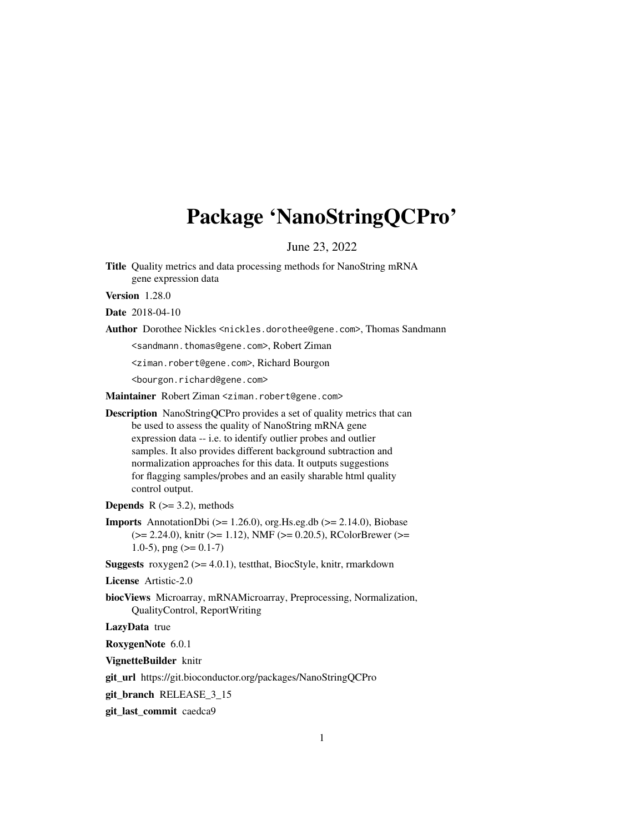# <span id="page-0-0"></span>Package 'NanoStringQCPro'

June 23, 2022

Title Quality metrics and data processing methods for NanoString mRNA gene expression data

Version 1.28.0

Date 2018-04-10

Author Dorothee Nickles <nickles.dorothee@gene.com>, Thomas Sandmann

<sandmann.thomas@gene.com>, Robert Ziman

<ziman.robert@gene.com>, Richard Bourgon

<bourgon.richard@gene.com>

Maintainer Robert Ziman <ziman.robert@gene.com>

Description NanoStringQCPro provides a set of quality metrics that can be used to assess the quality of NanoString mRNA gene expression data -- i.e. to identify outlier probes and outlier samples. It also provides different background subtraction and normalization approaches for this data. It outputs suggestions for flagging samples/probes and an easily sharable html quality control output.

**Depends** R  $(>= 3.2)$ , methods

**Imports** AnnotationDbi ( $> = 1.26.0$ ), org. Hs.eg.db ( $> = 2.14.0$ ), Biobase (>= 2.24.0), knitr (>= 1.12), NMF (>= 0.20.5), RColorBrewer (>= 1.0-5), png  $(>= 0.1 - 7)$ 

**Suggests** roxygen2 ( $>= 4.0.1$ ), testthat, BiocStyle, knitr, rmarkdown

License Artistic-2.0

biocViews Microarray, mRNAMicroarray, Preprocessing, Normalization, QualityControl, ReportWriting

LazyData true

RoxygenNote 6.0.1

VignetteBuilder knitr

git\_url https://git.bioconductor.org/packages/NanoStringQCPro

git\_branch RELEASE\_3\_15

git\_last\_commit caedca9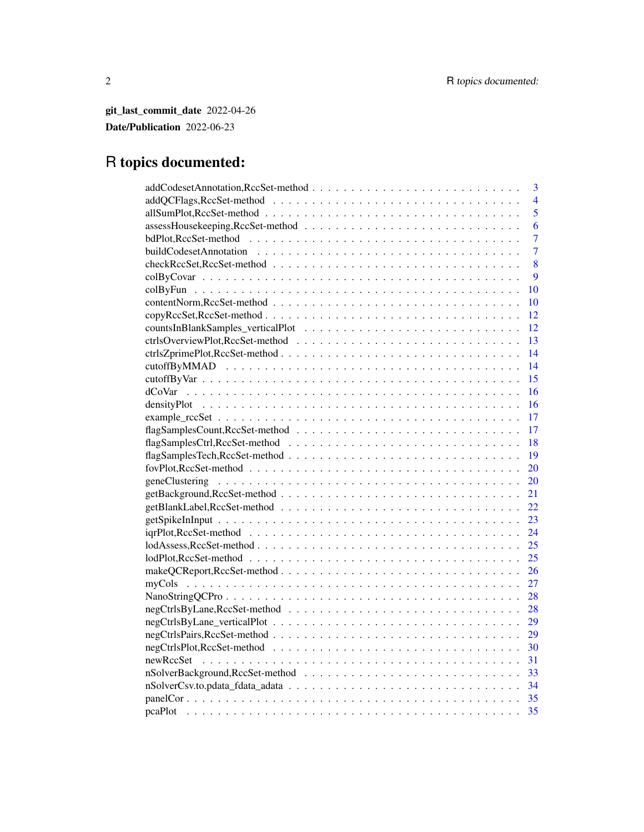git\_last\_commit\_date 2022-04-26 Date/Publication 2022-06-23

# R topics documented:

| 3              |
|----------------|
| $\overline{4}$ |
| 5              |
| 6              |
| 7              |
| $\overline{7}$ |
| 8              |
| 9              |
| 10             |
| 10             |
| 12             |
| 12             |
| 13             |
| 14             |
| 14             |
| 15             |
| 16             |
| 16             |
| 17             |
| 17             |
| 18             |
| 19             |
| 20             |
| 20             |
| 21             |
| 22             |
| 23             |
| 24             |
| 25             |
| 25             |
| 26             |
| 27             |
| 28             |
| 28             |
| 29             |
| 29             |
| 30             |
| 31             |
|                |
| 33<br>34       |
| 35             |
|                |
| 35             |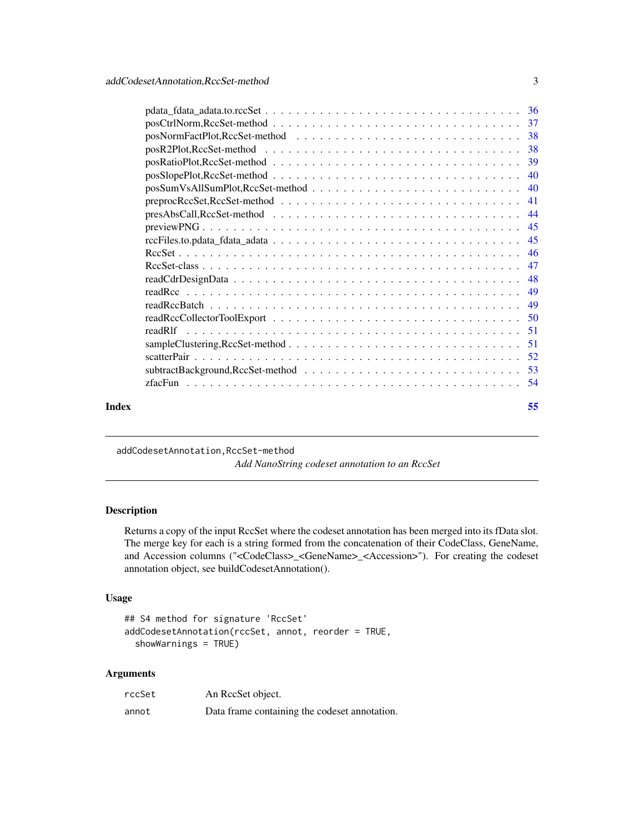<span id="page-2-0"></span>

| Index | 55 |
|-------|----|

addCodesetAnnotation,RccSet-method *Add NanoString codeset annotation to an RccSet*

### Description

Returns a copy of the input RccSet where the codeset annotation has been merged into its fData slot. The merge key for each is a string formed from the concatenation of their CodeClass, GeneName, and Accession columns ("<CodeClass>\_<GeneName>\_<Accession>"). For creating the codeset annotation object, see buildCodesetAnnotation().

#### Usage

```
## S4 method for signature 'RccSet'
addCodesetAnnotation(rccSet, annot, reorder = TRUE,
  showWarnings = TRUE)
```
#### Arguments

| rccSet | An RecSet object.                             |
|--------|-----------------------------------------------|
| annot  | Data frame containing the codeset annotation. |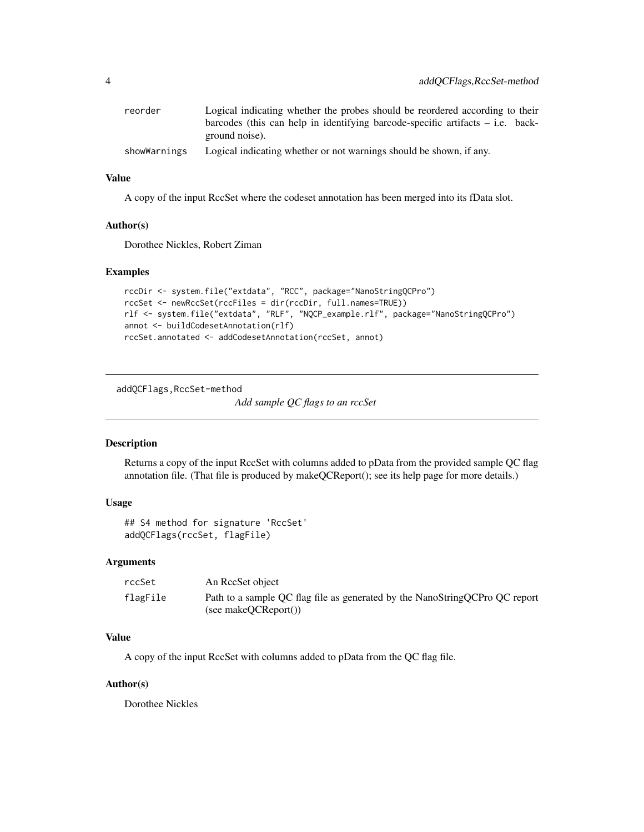<span id="page-3-0"></span>

| reorder      | Logical indicating whether the probes should be reordered according to their     |
|--------------|----------------------------------------------------------------------------------|
|              | barcodes (this can help in identifying barcode-specific artifacts $-$ i.e. back- |
|              | ground noise).                                                                   |
| showWarnings | Logical indicating whether or not warnings should be shown, if any.              |

### Value

A copy of the input RccSet where the codeset annotation has been merged into its fData slot.

### Author(s)

Dorothee Nickles, Robert Ziman

### Examples

```
rccDir <- system.file("extdata", "RCC", package="NanoStringQCPro")
rccSet <- newRccSet(rccFiles = dir(rccDir, full.names=TRUE))
rlf <- system.file("extdata", "RLF", "NQCP_example.rlf", package="NanoStringQCPro")
annot <- buildCodesetAnnotation(rlf)
rccSet.annotated <- addCodesetAnnotation(rccSet, annot)
```
addQCFlags,RccSet-method

*Add sample QC flags to an rccSet*

#### Description

Returns a copy of the input RccSet with columns added to pData from the provided sample QC flag annotation file. (That file is produced by makeQCReport(); see its help page for more details.)

### Usage

```
## S4 method for signature 'RccSet'
addQCFlags(rccSet, flagFile)
```
#### Arguments

| rccSet   | An RecSet object                                                                                    |
|----------|-----------------------------------------------------------------------------------------------------|
| flagFile | Path to a sample QC flag file as generated by the NanoStringQCPro QC report<br>(see makeOCReport()) |

#### Value

A copy of the input RccSet with columns added to pData from the QC flag file.

#### Author(s)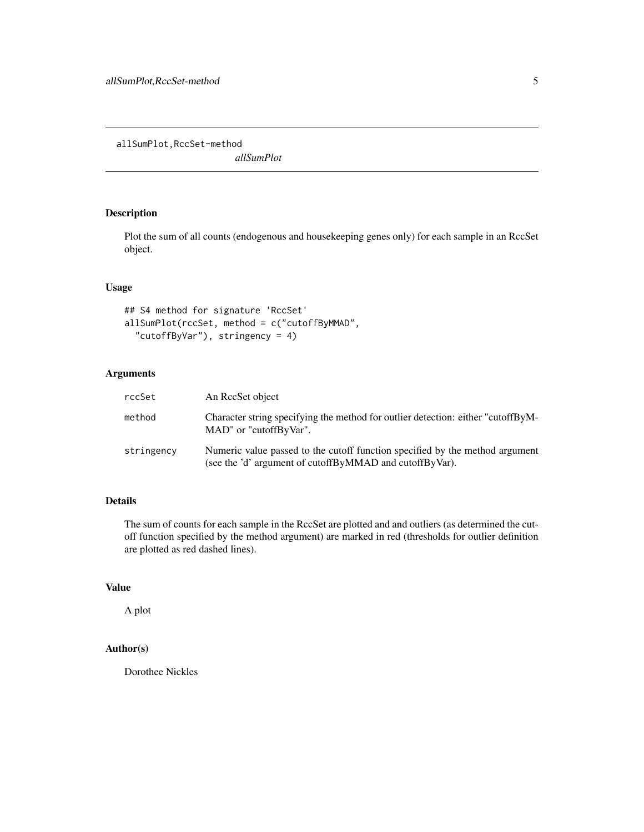<span id="page-4-0"></span>allSumPlot,RccSet-method

*allSumPlot*

### Description

Plot the sum of all counts (endogenous and housekeeping genes only) for each sample in an RccSet object.

### Usage

```
## S4 method for signature 'RccSet'
allSumPlot(rccSet, method = c("cutoffByMMAD",
  "cutoffByVar"), stringency = 4)
```
### Arguments

| rccSet     | An RecSet object                                                                                                                        |
|------------|-----------------------------------------------------------------------------------------------------------------------------------------|
| method     | Character string specifying the method for outlier detection: either "cutoffByM-<br>MAD" or "cutoffByVar".                              |
| stringency | Numeric value passed to the cutoff function specified by the method argument<br>(see the 'd' argument of cutoffByMMAD and cutoffByVar). |

### Details

The sum of counts for each sample in the RccSet are plotted and and outliers (as determined the cutoff function specified by the method argument) are marked in red (thresholds for outlier definition are plotted as red dashed lines).

### Value

A plot

### Author(s)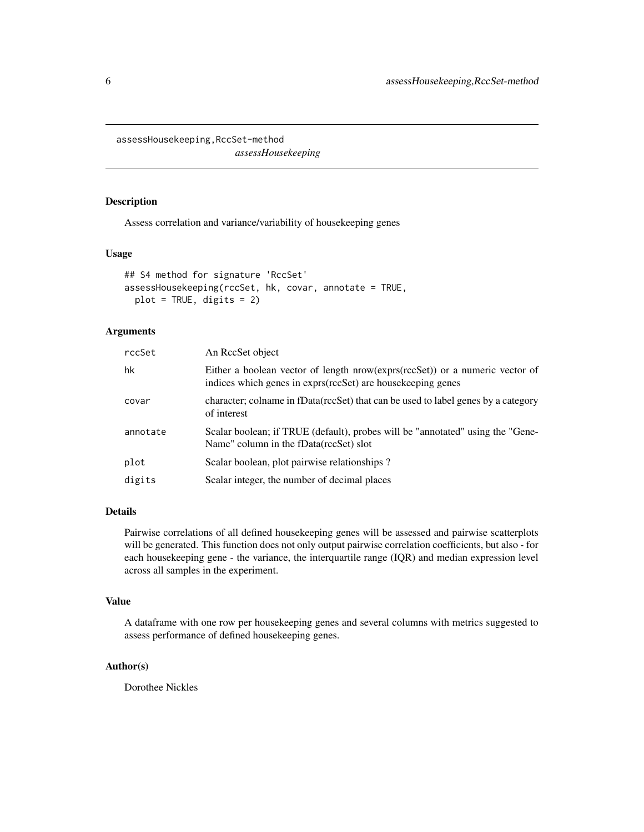<span id="page-5-0"></span>assessHousekeeping,RccSet-method

*assessHousekeeping*

### Description

Assess correlation and variance/variability of housekeeping genes

### Usage

```
## S4 method for signature 'RccSet'
assessHousekeeping(rccSet, hk, covar, annotate = TRUE,
 plot = TRUE, digits = 2)
```
### Arguments

| rccSet   | An RecSet object                                                                                                                            |
|----------|---------------------------------------------------------------------------------------------------------------------------------------------|
| hk       | Either a boolean vector of length nrow(exprs(rccSet)) or a numeric vector of<br>indices which genes in exprs(rccSet) are housekeeping genes |
| covar    | character; colname in fData(rccSet) that can be used to label genes by a category<br>of interest                                            |
| annotate | Scalar boolean; if TRUE (default), probes will be "annotated" using the "Gene-<br>Name" column in the fData(rccSet) slot                    |
| plot     | Scalar boolean, plot pairwise relationships?                                                                                                |
| digits   | Scalar integer, the number of decimal places                                                                                                |
|          |                                                                                                                                             |

### Details

Pairwise correlations of all defined housekeeping genes will be assessed and pairwise scatterplots will be generated. This function does not only output pairwise correlation coefficients, but also - for each housekeeping gene - the variance, the interquartile range (IQR) and median expression level across all samples in the experiment.

#### Value

A dataframe with one row per housekeeping genes and several columns with metrics suggested to assess performance of defined housekeeping genes.

### Author(s)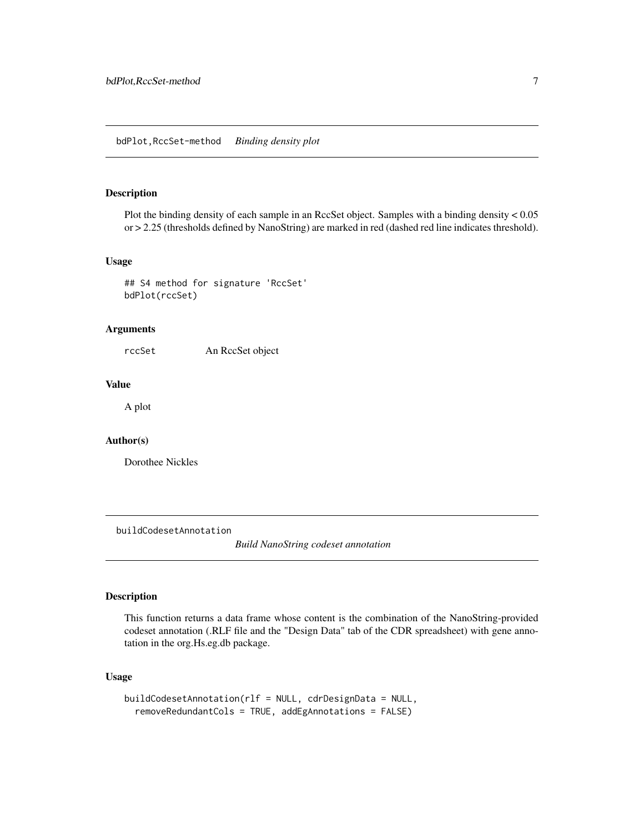#### <span id="page-6-0"></span>bdPlot,RccSet-method *Binding density plot*

### Description

Plot the binding density of each sample in an RccSet object. Samples with a binding density < 0.05 or > 2.25 (thresholds defined by NanoString) are marked in red (dashed red line indicates threshold).

#### Usage

```
## S4 method for signature 'RccSet'
bdPlot(rccSet)
```
### Arguments

rccSet An RccSet object

#### Value

A plot

### Author(s)

Dorothee Nickles

buildCodesetAnnotation

*Build NanoString codeset annotation*

#### Description

This function returns a data frame whose content is the combination of the NanoString-provided codeset annotation (.RLF file and the "Design Data" tab of the CDR spreadsheet) with gene annotation in the org.Hs.eg.db package.

#### Usage

```
buildCodesetAnnotation(rlf = NULL, cdrDesignData = NULL,
  removeRedundantCols = TRUE, addEgAnnotations = FALSE)
```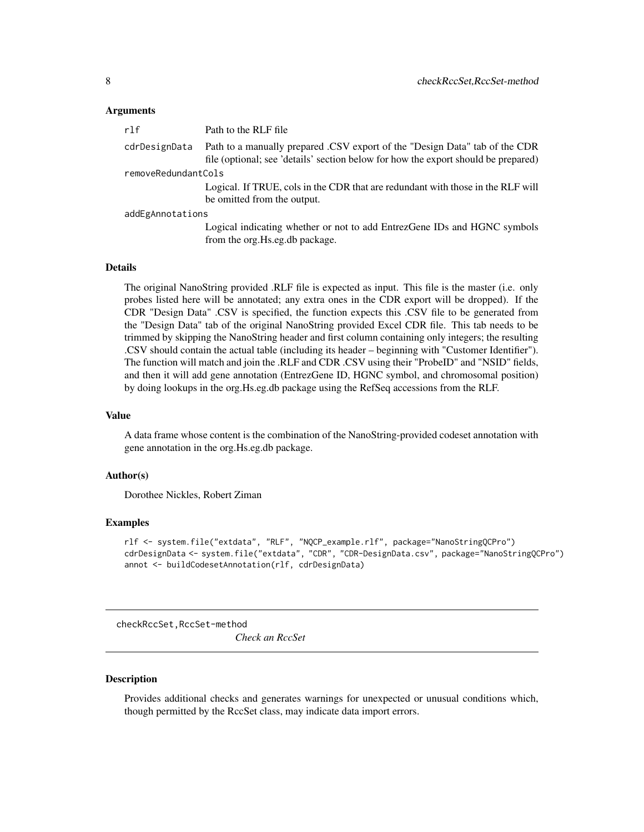#### <span id="page-7-0"></span>Arguments

| r1f                 | Path to the RLF file                                                                                                                                             |  |
|---------------------|------------------------------------------------------------------------------------------------------------------------------------------------------------------|--|
| cdrDesignData       | Path to a manually prepared CSV export of the "Design Data" tab of the CDR<br>file (optional; see 'details' section below for how the export should be prepared) |  |
| removeRedundantCols |                                                                                                                                                                  |  |
|                     | Logical. If TRUE, cols in the CDR that are redundant with those in the RLF will<br>be omitted from the output.                                                   |  |
| addEgAnnotations    |                                                                                                                                                                  |  |
|                     | Logical indicating whether or not to add EntrezGene IDs and HGNC symbols<br>from the org. Hs.eg.db package.                                                      |  |

#### Details

The original NanoString provided .RLF file is expected as input. This file is the master (i.e. only probes listed here will be annotated; any extra ones in the CDR export will be dropped). If the CDR "Design Data" .CSV is specified, the function expects this .CSV file to be generated from the "Design Data" tab of the original NanoString provided Excel CDR file. This tab needs to be trimmed by skipping the NanoString header and first column containing only integers; the resulting .CSV should contain the actual table (including its header – beginning with "Customer Identifier"). The function will match and join the .RLF and CDR .CSV using their "ProbeID" and "NSID" fields, and then it will add gene annotation (EntrezGene ID, HGNC symbol, and chromosomal position) by doing lookups in the org.Hs.eg.db package using the RefSeq accessions from the RLF.

#### Value

A data frame whose content is the combination of the NanoString-provided codeset annotation with gene annotation in the org.Hs.eg.db package.

#### Author(s)

Dorothee Nickles, Robert Ziman

#### Examples

```
rlf <- system.file("extdata", "RLF", "NQCP_example.rlf", package="NanoStringQCPro")
cdrDesignData <- system.file("extdata", "CDR", "CDR-DesignData.csv", package="NanoStringQCPro")
annot <- buildCodesetAnnotation(rlf, cdrDesignData)
```
checkRccSet,RccSet-method

*Check an RccSet*

#### <span id="page-7-1"></span>**Description**

Provides additional checks and generates warnings for unexpected or unusual conditions which, though permitted by the RccSet class, may indicate data import errors.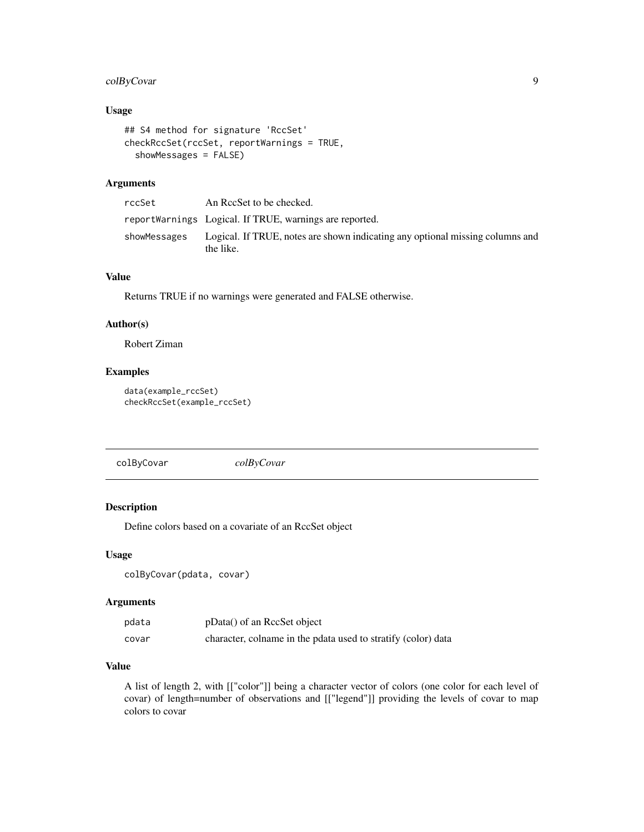### <span id="page-8-0"></span>colByCovar 9

### Usage

```
## S4 method for signature 'RccSet'
checkRccSet(rccSet, reportWarnings = TRUE,
  showMessages = FALSE)
```
#### Arguments

| rccSet       | An RecSet to be checked.                                                                   |
|--------------|--------------------------------------------------------------------------------------------|
|              | reportWarnings Logical. If TRUE, warnings are reported.                                    |
| showMessages | Logical. If TRUE, notes are shown indicating any optional missing columns and<br>the like. |

### Value

Returns TRUE if no warnings were generated and FALSE otherwise.

### Author(s)

Robert Ziman

### Examples

```
data(example_rccSet)
checkRccSet(example_rccSet)
```
colByCovar *colByCovar*

#### Description

Define colors based on a covariate of an RccSet object

### Usage

```
colByCovar(pdata, covar)
```
### Arguments

| pdata | pData() of an RccSet object                                   |
|-------|---------------------------------------------------------------|
| covar | character, colname in the pdata used to stratify (color) data |

### Value

A list of length 2, with [["color"]] being a character vector of colors (one color for each level of covar) of length=number of observations and [["legend"]] providing the levels of covar to map colors to covar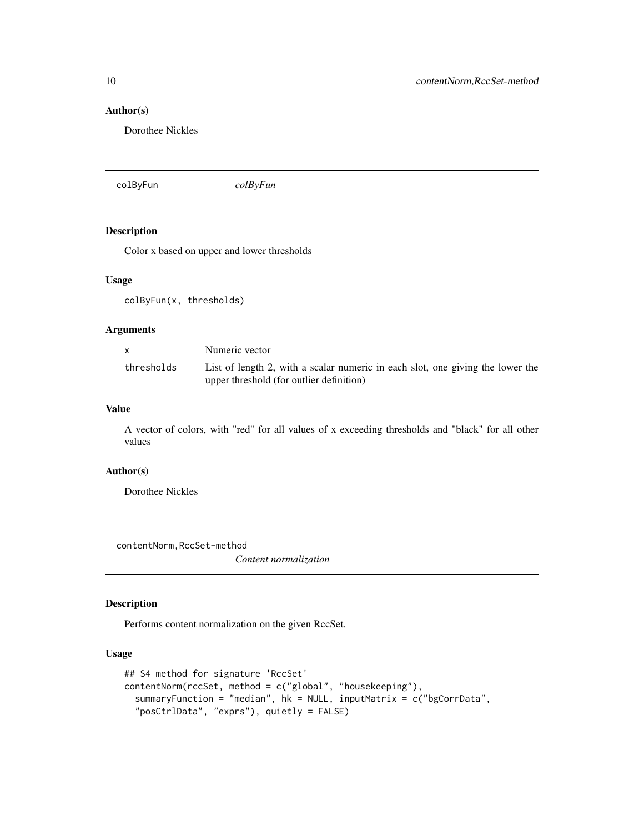### Author(s)

Dorothee Nickles

colByFun *colByFun*

### Description

Color x based on upper and lower thresholds

#### Usage

colByFun(x, thresholds)

### Arguments

|            | Numeric vector                                                                                                             |
|------------|----------------------------------------------------------------------------------------------------------------------------|
| thresholds | List of length 2, with a scalar numeric in each slot, one giving the lower the<br>upper threshold (for outlier definition) |

### Value

A vector of colors, with "red" for all values of x exceeding thresholds and "black" for all other values

#### Author(s)

Dorothee Nickles

contentNorm,RccSet-method

*Content normalization*

### Description

Performs content normalization on the given RccSet.

### Usage

```
## S4 method for signature 'RccSet'
contentNorm(rccSet, method = c("global", "housekeeping"),
  summaryFunction = "median", hk = NULL, inputMatrix = c("bgCorrData",
  "posCtrlData", "exprs"), quietly = FALSE)
```
<span id="page-9-0"></span>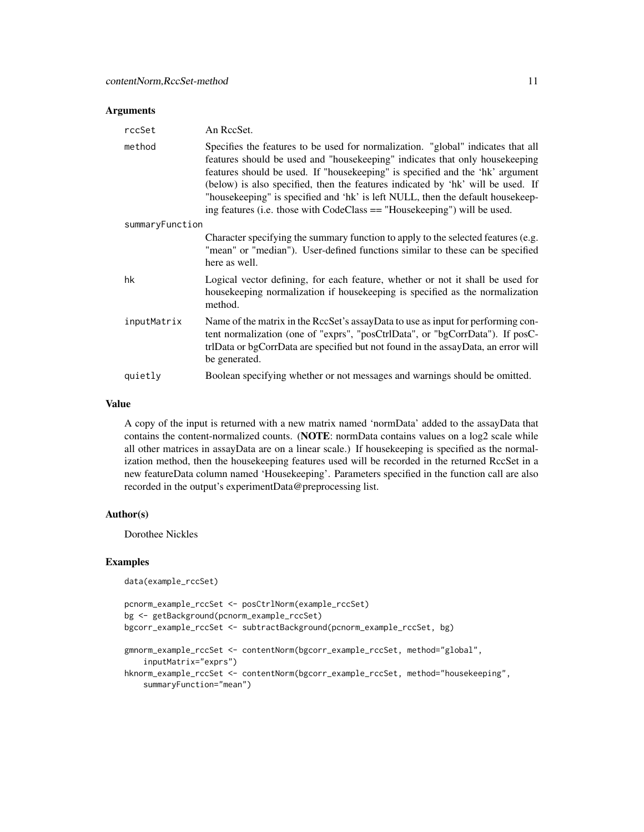#### **Arguments**

| rccSet          | An ReeSet.                                                                                                                                                                                                                                                                                                                                                                                                                                                                                          |
|-----------------|-----------------------------------------------------------------------------------------------------------------------------------------------------------------------------------------------------------------------------------------------------------------------------------------------------------------------------------------------------------------------------------------------------------------------------------------------------------------------------------------------------|
| method          | Specifies the features to be used for normalization. "global" indicates that all<br>features should be used and "housekeeping" indicates that only housekeeping<br>features should be used. If "housekeeping" is specified and the 'hk' argument<br>(below) is also specified, then the features indicated by 'hk' will be used. If<br>"housekeeping" is specified and 'hk' is left NULL, then the default housekeep-<br>ing features (i.e. those with $CodeClass == "Housekeeping")$ will be used. |
| summaryFunction |                                                                                                                                                                                                                                                                                                                                                                                                                                                                                                     |
|                 | Character specifying the summary function to apply to the selected features (e.g.<br>"mean" or "median"). User-defined functions similar to these can be specified<br>here as well.                                                                                                                                                                                                                                                                                                                 |
| hk              | Logical vector defining, for each feature, whether or not it shall be used for<br>house keeping normalization if house keeping is specified as the normalization<br>method.                                                                                                                                                                                                                                                                                                                         |
| inputMatrix     | Name of the matrix in the RccSet's assayData to use as input for performing con-<br>tent normalization (one of "exprs", "posCtrlData", or "bgCorrData"). If posC-<br>trlData or bgCorrData are specified but not found in the assayData, an error will<br>be generated.                                                                                                                                                                                                                             |
| quietly         | Boolean specifying whether or not messages and warnings should be omitted.                                                                                                                                                                                                                                                                                                                                                                                                                          |

#### Value

A copy of the input is returned with a new matrix named 'normData' added to the assayData that contains the content-normalized counts. (NOTE: normData contains values on a log2 scale while all other matrices in assayData are on a linear scale.) If housekeeping is specified as the normalization method, then the housekeeping features used will be recorded in the returned RccSet in a new featureData column named 'Housekeeping'. Parameters specified in the function call are also recorded in the output's experimentData@preprocessing list.

### Author(s)

Dorothee Nickles

#### Examples

```
data(example_rccSet)
```

```
pcnorm_example_rccSet <- posCtrlNorm(example_rccSet)
bg <- getBackground(pcnorm_example_rccSet)
bgcorr_example_rccSet <- subtractBackground(pcnorm_example_rccSet, bg)
gmnorm_example_rccSet <- contentNorm(bgcorr_example_rccSet, method="global",
    inputMatrix="exprs")
hknorm_example_rccSet <- contentNorm(bgcorr_example_rccSet, method="housekeeping",
    summaryFunction="mean")
```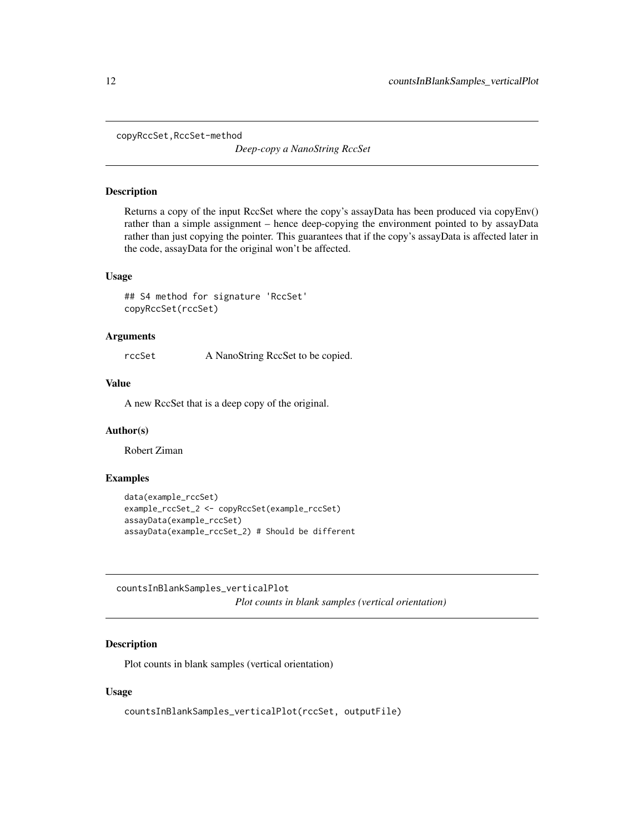<span id="page-11-0"></span>copyRccSet,RccSet-method

*Deep-copy a NanoString RccSet*

### Description

Returns a copy of the input RccSet where the copy's assayData has been produced via copyEnv() rather than a simple assignment – hence deep-copying the environment pointed to by assayData rather than just copying the pointer. This guarantees that if the copy's assayData is affected later in the code, assayData for the original won't be affected.

#### Usage

```
## S4 method for signature 'RccSet'
copyRccSet(rccSet)
```
#### Arguments

rccSet A NanoString RccSet to be copied.

#### Value

A new RccSet that is a deep copy of the original.

### Author(s)

Robert Ziman

#### Examples

```
data(example_rccSet)
example_rccSet_2 <- copyRccSet(example_rccSet)
assayData(example_rccSet)
assayData(example_rccSet_2) # Should be different
```
countsInBlankSamples\_verticalPlot *Plot counts in blank samples (vertical orientation)*

### Description

Plot counts in blank samples (vertical orientation)

#### Usage

countsInBlankSamples\_verticalPlot(rccSet, outputFile)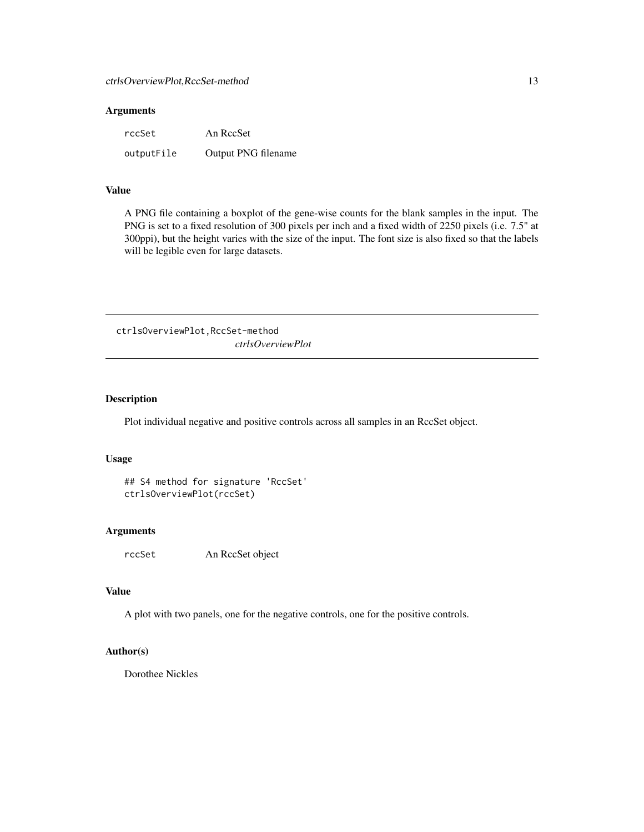### <span id="page-12-0"></span>Arguments

| rccSet     | An RccSet           |
|------------|---------------------|
| outputFile | Output PNG filename |

### Value

A PNG file containing a boxplot of the gene-wise counts for the blank samples in the input. The PNG is set to a fixed resolution of 300 pixels per inch and a fixed width of 2250 pixels (i.e. 7.5" at 300ppi), but the height varies with the size of the input. The font size is also fixed so that the labels will be legible even for large datasets.

ctrlsOverviewPlot,RccSet-method *ctrlsOverviewPlot*

### Description

Plot individual negative and positive controls across all samples in an RccSet object.

#### Usage

```
## S4 method for signature 'RccSet'
ctrlsOverviewPlot(rccSet)
```
### Arguments

rccSet An RccSet object

### Value

A plot with two panels, one for the negative controls, one for the positive controls.

#### Author(s)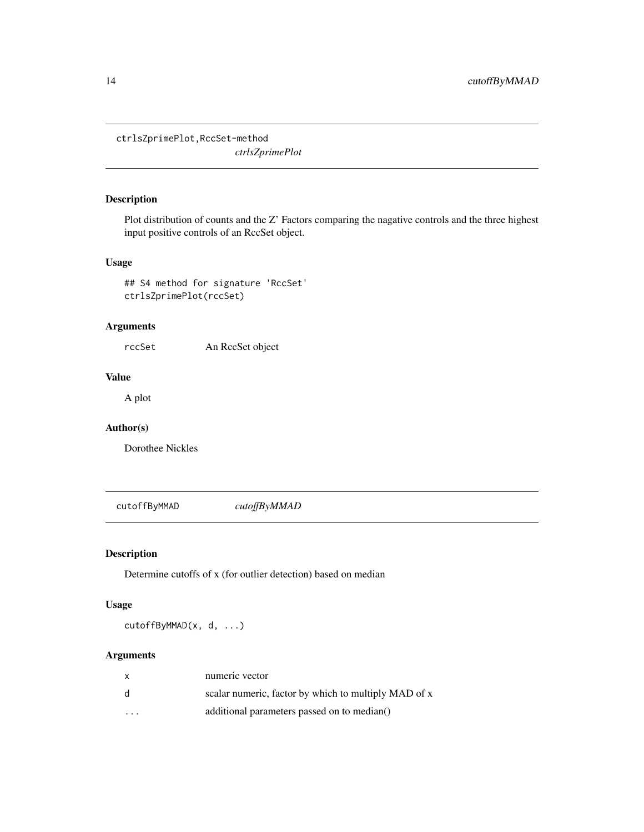<span id="page-13-0"></span>ctrlsZprimePlot,RccSet-method *ctrlsZprimePlot*

### Description

Plot distribution of counts and the Z' Factors comparing the nagative controls and the three highest input positive controls of an RccSet object.

### Usage

```
## S4 method for signature 'RccSet'
ctrlsZprimePlot(rccSet)
```
### Arguments

rccSet An RccSet object

### Value

A plot

### Author(s)

Dorothee Nickles

<span id="page-13-1"></span>cutoffByMMAD *cutoffByMMAD*

### Description

Determine cutoffs of x (for outlier detection) based on median

### Usage

cutoffByMMAD(x, d, ...)

### Arguments

| X                       | numeric vector                                       |
|-------------------------|------------------------------------------------------|
| d                       | scalar numeric, factor by which to multiply MAD of x |
| $\cdot$ $\cdot$ $\cdot$ | additional parameters passed on to median()          |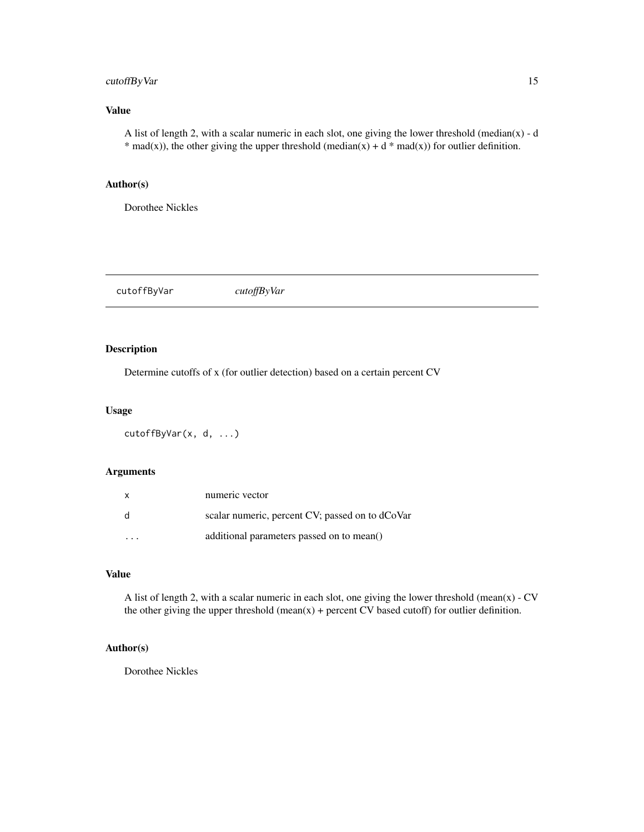### <span id="page-14-0"></span>cutoffByVar 15

### Value

A list of length 2, with a scalar numeric in each slot, one giving the lower threshold (median(x) - d \* mad(x)), the other giving the upper threshold (median(x) + d \* mad(x)) for outlier definition.

### Author(s)

Dorothee Nickles

<span id="page-14-1"></span>cutoffByVar *cutoffByVar*

### Description

Determine cutoffs of x (for outlier detection) based on a certain percent CV

### Usage

```
cutoffByVar(x, d, ...)
```
#### Arguments

| $\mathsf{x}$ | numeric vector                                  |
|--------------|-------------------------------------------------|
| -d           | scalar numeric, percent CV; passed on to dCoVar |
| .            | additional parameters passed on to mean()       |

### Value

A list of length 2, with a scalar numeric in each slot, one giving the lower threshold (mean(x) -  $CV$ the other giving the upper threshold (mean(x) + percent CV based cutoff) for outlier definition.

#### Author(s)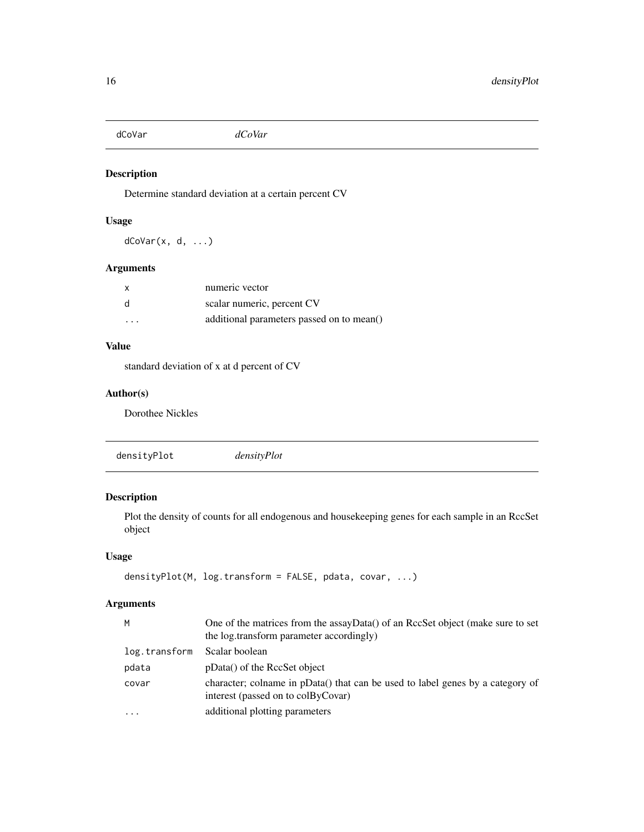<span id="page-15-0"></span>dCoVar *dCoVar*

### Description

Determine standard deviation at a certain percent CV

### Usage

 $d$ CoVar $(x, d, \ldots)$ 

### Arguments

| $\mathsf{x}$      | numeric vector                            |
|-------------------|-------------------------------------------|
| d                 | scalar numeric, percent CV                |
| $\cdot\cdot\cdot$ | additional parameters passed on to mean() |

### Value

standard deviation of x at d percent of CV

### Author(s)

Dorothee Nickles

densityPlot *densityPlot*

## Description

Plot the density of counts for all endogenous and housekeeping genes for each sample in an RccSet object

### Usage

```
densityPlot(M, log.transform = FALSE, pdata, covar, ...)
```
### Arguments

| M             | One of the matrices from the assayData() of an RccSet object (make sure to set<br>the log.transform parameter accordingly) |
|---------------|----------------------------------------------------------------------------------------------------------------------------|
| log.transform | Scalar boolean                                                                                                             |
| pdata         | pData() of the RccSet object                                                                                               |
| covar         | character; colname in pData() that can be used to label genes by a category of<br>interest (passed on to colByCovar)       |
| $\cdots$      | additional plotting parameters                                                                                             |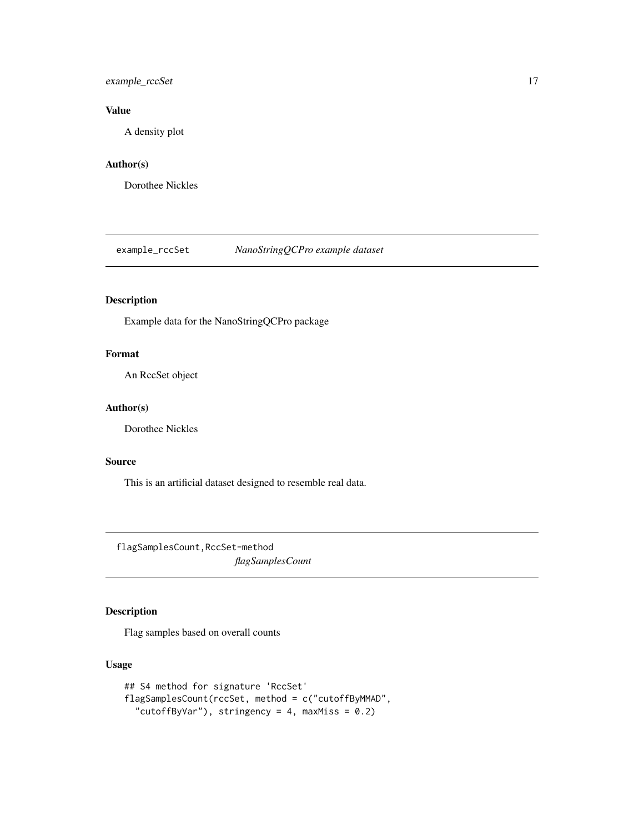### <span id="page-16-0"></span>example\_rccSet 17

### Value

A density plot

### Author(s)

Dorothee Nickles

example\_rccSet *NanoStringQCPro example dataset*

### Description

Example data for the NanoStringQCPro package

### Format

An RccSet object

### Author(s)

Dorothee Nickles

#### Source

This is an artificial dataset designed to resemble real data.

flagSamplesCount,RccSet-method *flagSamplesCount*

### Description

Flag samples based on overall counts

### Usage

```
## S4 method for signature 'RccSet'
flagSamplesCount(rccSet, method = c("cutoffByMMAD",
  "cutoffByVar"), stringency = 4, maxMiss = 0.2)
```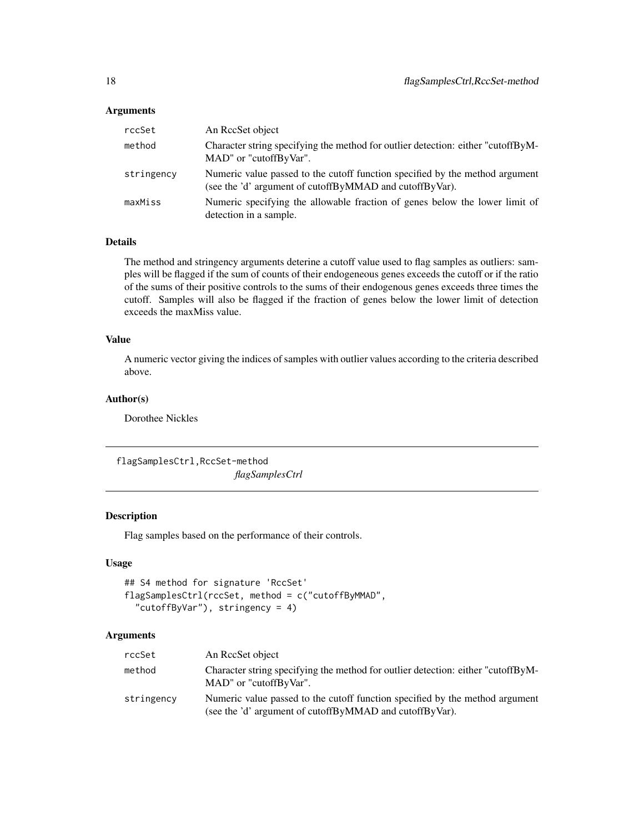#### <span id="page-17-0"></span>**Arguments**

| rccSet     | An RecSet object                                                                                                                        |
|------------|-----------------------------------------------------------------------------------------------------------------------------------------|
| method     | Character string specifying the method for outlier detection: either "cutoffByM-<br>MAD" or "cutoffByVar".                              |
| stringency | Numeric value passed to the cutoff function specified by the method argument<br>(see the 'd' argument of cutoffByMMAD and cutoffByVar). |
| maxMiss    | Numeric specifying the allowable fraction of genes below the lower limit of<br>detection in a sample.                                   |

### Details

The method and stringency arguments deterine a cutoff value used to flag samples as outliers: samples will be flagged if the sum of counts of their endogeneous genes exceeds the cutoff or if the ratio of the sums of their positive controls to the sums of their endogenous genes exceeds three times the cutoff. Samples will also be flagged if the fraction of genes below the lower limit of detection exceeds the maxMiss value.

### Value

A numeric vector giving the indices of samples with outlier values according to the criteria described above.

#### Author(s)

Dorothee Nickles

flagSamplesCtrl,RccSet-method

*flagSamplesCtrl*

### Description

Flag samples based on the performance of their controls.

#### Usage

```
## S4 method for signature 'RccSet'
flagSamplesCtrl(rccSet, method = c("cutoffByMMAD",
  "cutoffByVar"), stringency = 4)
```
#### Arguments

| rccSet     | An RecSet object                                                                                                                        |
|------------|-----------------------------------------------------------------------------------------------------------------------------------------|
| method     | Character string specifying the method for outlier detection: either "cutoffByM-<br>MAD" or "cutoffByVar".                              |
| stringency | Numeric value passed to the cutoff function specified by the method argument<br>(see the 'd' argument of cutoffByMMAD and cutoffByVar). |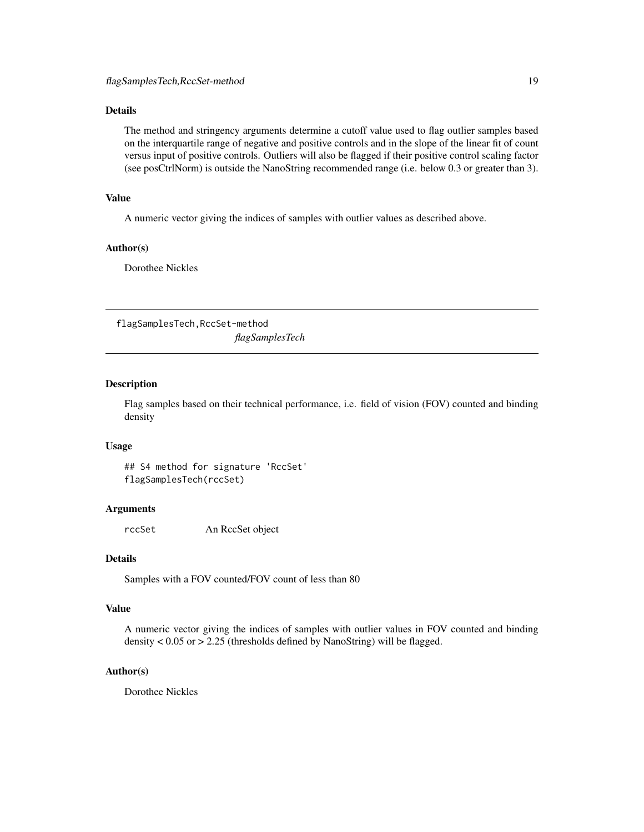### <span id="page-18-0"></span>Details

The method and stringency arguments determine a cutoff value used to flag outlier samples based on the interquartile range of negative and positive controls and in the slope of the linear fit of count versus input of positive controls. Outliers will also be flagged if their positive control scaling factor (see posCtrlNorm) is outside the NanoString recommended range (i.e. below 0.3 or greater than 3).

### Value

A numeric vector giving the indices of samples with outlier values as described above.

### Author(s)

Dorothee Nickles

flagSamplesTech,RccSet-method *flagSamplesTech*

### Description

Flag samples based on their technical performance, i.e. field of vision (FOV) counted and binding density

#### Usage

## S4 method for signature 'RccSet' flagSamplesTech(rccSet)

### Arguments

rccSet An RccSet object

#### Details

Samples with a FOV counted/FOV count of less than 80

### Value

A numeric vector giving the indices of samples with outlier values in FOV counted and binding density < 0.05 or > 2.25 (thresholds defined by NanoString) will be flagged.

#### Author(s)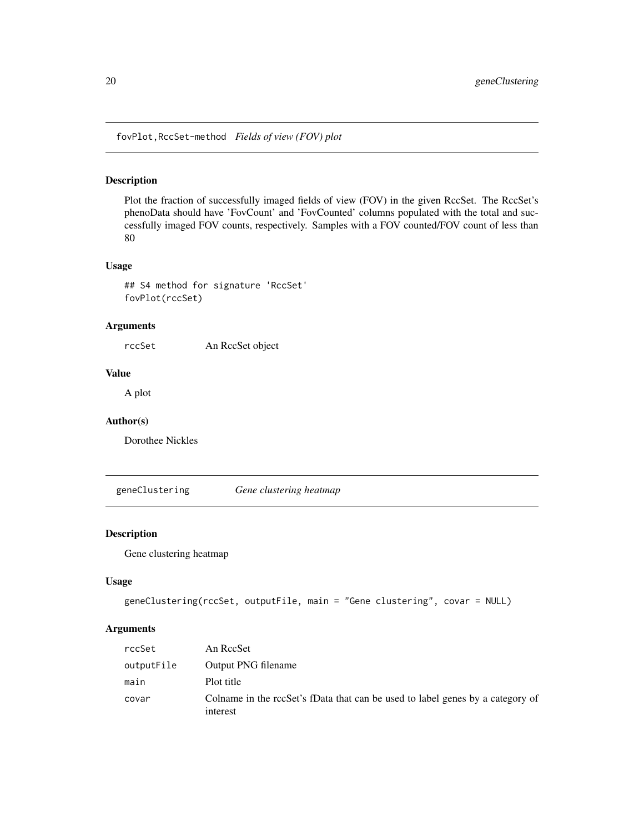<span id="page-19-0"></span>fovPlot,RccSet-method *Fields of view (FOV) plot*

### Description

Plot the fraction of successfully imaged fields of view (FOV) in the given RccSet. The RccSet's phenoData should have 'FovCount' and 'FovCounted' columns populated with the total and successfully imaged FOV counts, respectively. Samples with a FOV counted/FOV count of less than 80

### Usage

## S4 method for signature 'RccSet' fovPlot(rccSet)

#### Arguments

rccSet An RccSet object

### Value

A plot

### Author(s)

Dorothee Nickles

geneClustering *Gene clustering heatmap*

### Description

Gene clustering heatmap

#### Usage

```
geneClustering(rccSet, outputFile, main = "Gene clustering", covar = NULL)
```
### Arguments

| rccSet     | An ReeSet                                                                                  |
|------------|--------------------------------------------------------------------------------------------|
| outputFile | Output PNG filename                                                                        |
| main       | Plot title                                                                                 |
| covar      | Colname in the rccSet's fData that can be used to label genes by a category of<br>interest |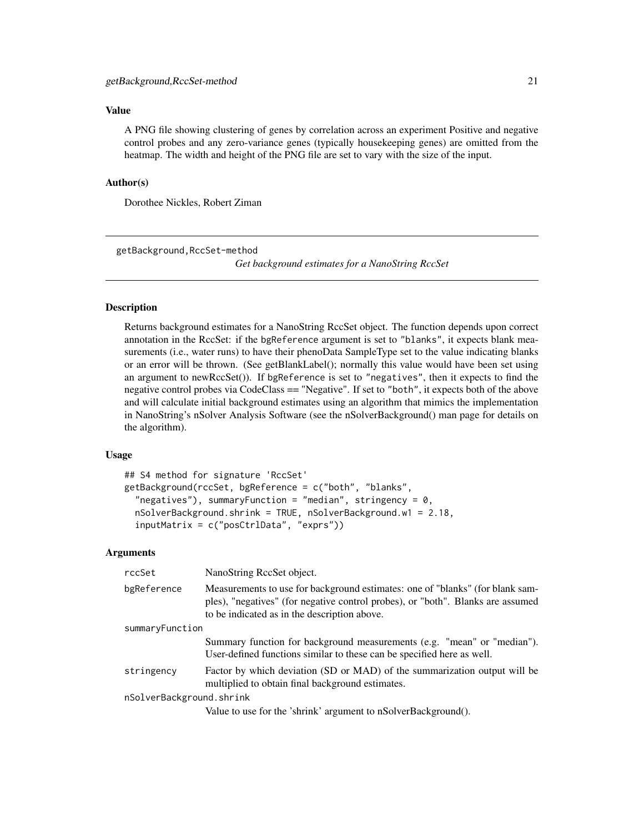### <span id="page-20-0"></span>Value

A PNG file showing clustering of genes by correlation across an experiment Positive and negative control probes and any zero-variance genes (typically housekeeping genes) are omitted from the heatmap. The width and height of the PNG file are set to vary with the size of the input.

#### Author(s)

Dorothee Nickles, Robert Ziman

getBackground,RccSet-method

*Get background estimates for a NanoString RccSet*

### <span id="page-20-1"></span>**Description**

Returns background estimates for a NanoString RccSet object. The function depends upon correct annotation in the RccSet: if the bgReference argument is set to "blanks", it expects blank measurements (i.e., water runs) to have their phenoData SampleType set to the value indicating blanks or an error will be thrown. (See getBlankLabel(); normally this value would have been set using an argument to newRccSet()). If bgReference is set to "negatives", then it expects to find the negative control probes via CodeClass == "Negative". If set to "both", it expects both of the above and will calculate initial background estimates using an algorithm that mimics the implementation in NanoString's nSolver Analysis Software (see the nSolverBackground() man page for details on the algorithm).

#### Usage

```
## S4 method for signature 'RccSet'
getBackground(rccSet, bgReference = c("both", "blanks",
  "negatives"), summaryFunction = "median", stringency = 0,
  nSolverBackground.shrink = TRUE, nSolverBackground.w1 = 2.18,
  inputMatrix = c("posCtrlData", "exprs"))
```
#### Arguments

| rccSet                   | NanoString RecSet object.                                                                                                                                                                                        |
|--------------------------|------------------------------------------------------------------------------------------------------------------------------------------------------------------------------------------------------------------|
| bgReference              | Measurements to use for background estimates: one of "blanks" (for blank sam-<br>ples), "negatives" (for negative control probes), or "both". Blanks are assumed<br>to be indicated as in the description above. |
| summaryFunction          |                                                                                                                                                                                                                  |
|                          | Summary function for background measurements (e.g. "mean" or "median").<br>User-defined functions similar to these can be specified here as well.                                                                |
| stringency               | Factor by which deviation (SD or MAD) of the summarization output will be<br>multiplied to obtain final background estimates.                                                                                    |
| nSolverBackground.shrink |                                                                                                                                                                                                                  |
|                          | Value to use for the 'shrink' argument to nSolverBackground().                                                                                                                                                   |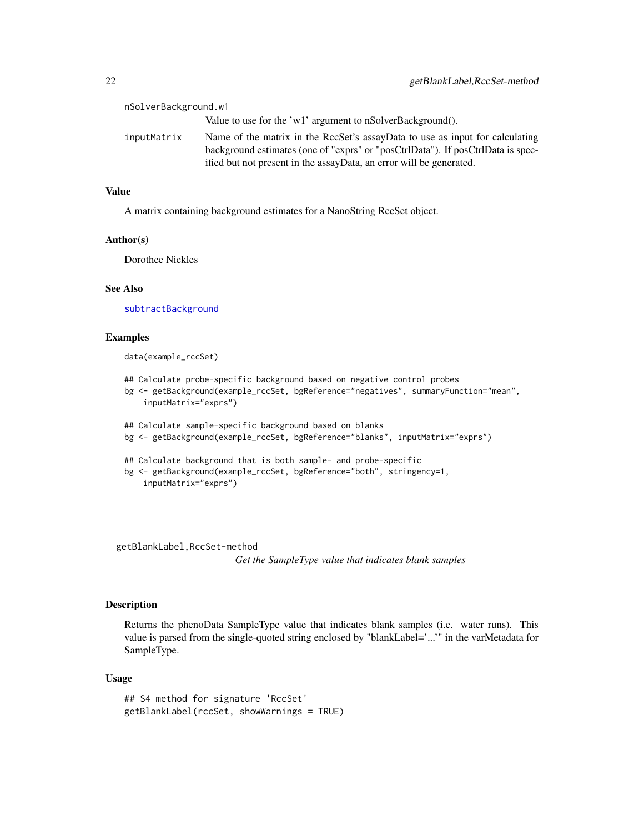<span id="page-21-0"></span>

| nSolverBackground.w1 |                                                                                                                                                                                                                                        |
|----------------------|----------------------------------------------------------------------------------------------------------------------------------------------------------------------------------------------------------------------------------------|
|                      | Value to use for the 'w1' argument to nSolverBackground().                                                                                                                                                                             |
| inputMatrix          | Name of the matrix in the RccSet's assayData to use as input for calculating<br>background estimates (one of "exprs" or "posCtrlData"). If posCtrlData is spec-<br>ified but not present in the assayData, an error will be generated. |

#### Value

A matrix containing background estimates for a NanoString RccSet object.

#### Author(s)

Dorothee Nickles

### See Also

[subtractBackground](#page-52-1)

#### Examples

data(example\_rccSet)

- ## Calculate probe-specific background based on negative control probes
- bg <- getBackground(example\_rccSet, bgReference="negatives", summaryFunction="mean", inputMatrix="exprs")

```
## Calculate sample-specific background based on blanks
bg <- getBackground(example_rccSet, bgReference="blanks", inputMatrix="exprs")
## Calculate background that is both sample- and probe-specific
bg <- getBackground(example_rccSet, bgReference="both", stringency=1,
```

```
inputMatrix="exprs")
```
getBlankLabel,RccSet-method

*Get the SampleType value that indicates blank samples*

#### Description

Returns the phenoData SampleType value that indicates blank samples (i.e. water runs). This value is parsed from the single-quoted string enclosed by "blankLabel='...'" in the varMetadata for SampleType.

#### Usage

```
## S4 method for signature 'RccSet'
getBlankLabel(rccSet, showWarnings = TRUE)
```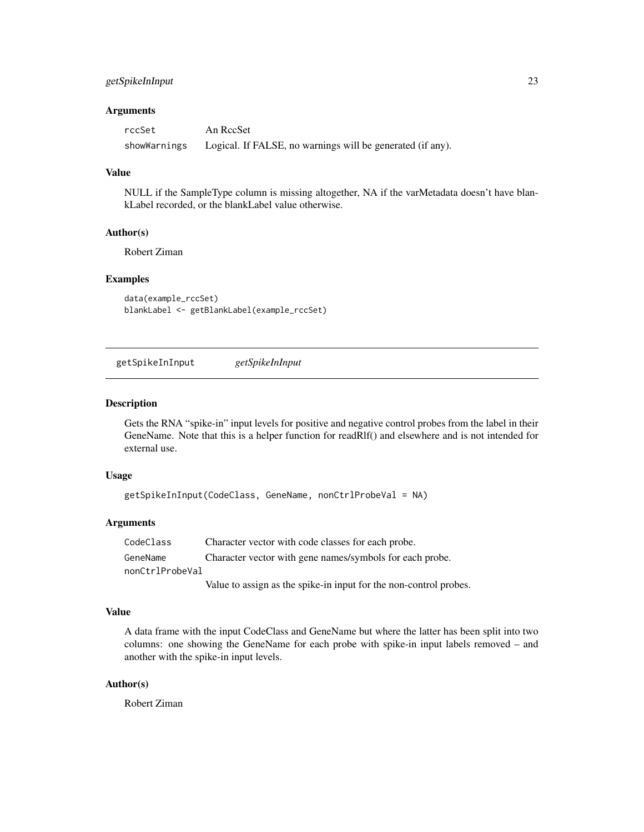### <span id="page-22-0"></span>getSpikeInInput 23

#### **Arguments**

| rccSet       | An RccSet                                                  |
|--------------|------------------------------------------------------------|
| showWarnings | Logical. If FALSE, no warnings will be generated (if any). |

#### Value

NULL if the SampleType column is missing altogether, NA if the varMetadata doesn't have blankLabel recorded, or the blankLabel value otherwise.

#### Author(s)

Robert Ziman

#### Examples

```
data(example_rccSet)
blankLabel <- getBlankLabel(example_rccSet)
```
getSpikeInInput *getSpikeInInput*

#### Description

Gets the RNA "spike-in" input levels for positive and negative control probes from the label in their GeneName. Note that this is a helper function for readRlf() and elsewhere and is not intended for external use.

#### Usage

```
getSpikeInInput(CodeClass, GeneName, nonCtrlProbeVal = NA)
```
#### Arguments

CodeClass Character vector with code classes for each probe. GeneName Character vector with gene names/symbols for each probe. nonCtrlProbeVal

Value to assign as the spike-in input for the non-control probes.

### Value

A data frame with the input CodeClass and GeneName but where the latter has been split into two columns: one showing the GeneName for each probe with spike-in input labels removed – and another with the spike-in input levels.

#### Author(s)

Robert Ziman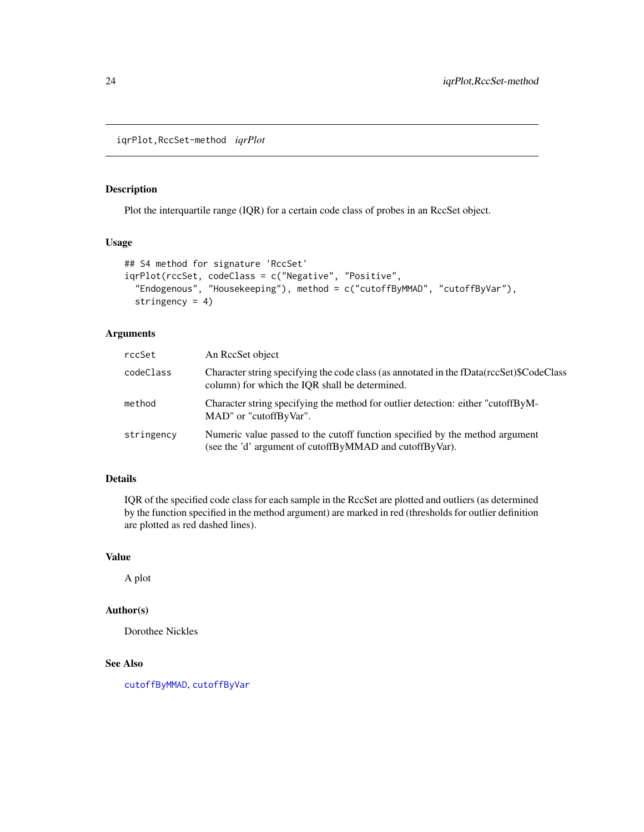<span id="page-23-0"></span>iqrPlot,RccSet-method *iqrPlot*

### Description

Plot the interquartile range (IQR) for a certain code class of probes in an RccSet object.

### Usage

```
## S4 method for signature 'RccSet'
iqrPlot(rccSet, codeClass = c("Negative", "Positive",
  "Endogenous", "Housekeeping"), method = c("cutoffByMMAD", "cutoffByVar"),
 stringency = 4)
```
### Arguments

| rccSet     | An RecSet object                                                                                                                           |
|------------|--------------------------------------------------------------------------------------------------------------------------------------------|
| codeClass  | Character string specifying the code class (as annotated in the fData(rccSet)\$CodeClass<br>column) for which the IOR shall be determined. |
| method     | Character string specifying the method for outlier detection: either "cutoffByM-<br>MAD" or "cutoffByVar".                                 |
| stringency | Numeric value passed to the cutoff function specified by the method argument<br>(see the 'd' argument of cutoffByMMAD and cutoffByVar).    |

#### Details

IQR of the specified code class for each sample in the RccSet are plotted and outliers (as determined by the function specified in the method argument) are marked in red (thresholds for outlier definition are plotted as red dashed lines).

#### Value

A plot

### Author(s)

Dorothee Nickles

#### See Also

[cutoffByMMAD](#page-13-1), [cutoffByVar](#page-14-1)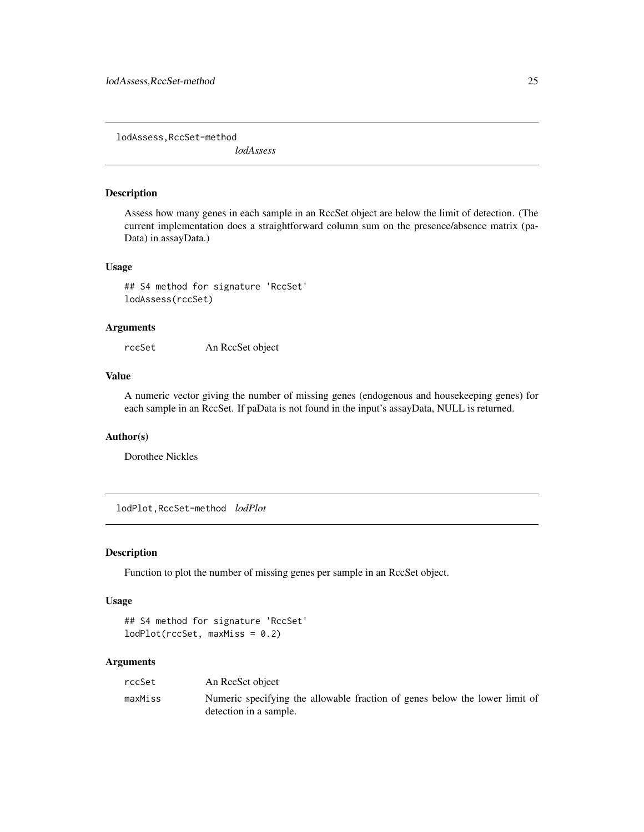<span id="page-24-0"></span>lodAssess,RccSet-method

*lodAssess*

#### Description

Assess how many genes in each sample in an RccSet object are below the limit of detection. (The current implementation does a straightforward column sum on the presence/absence matrix (pa-Data) in assayData.)

#### Usage

## S4 method for signature 'RccSet' lodAssess(rccSet)

#### Arguments

rccSet An RccSet object

### Value

A numeric vector giving the number of missing genes (endogenous and housekeeping genes) for each sample in an RccSet. If paData is not found in the input's assayData, NULL is returned.

#### Author(s)

Dorothee Nickles

lodPlot,RccSet-method *lodPlot*

#### Description

Function to plot the number of missing genes per sample in an RccSet object.

#### Usage

```
## S4 method for signature 'RccSet'
lodPlot(rccSet, maxMiss = 0.2)
```
#### **Arguments**

| rccSet  | An ReeSet object                                                                                      |
|---------|-------------------------------------------------------------------------------------------------------|
| maxMiss | Numeric specifying the allowable fraction of genes below the lower limit of<br>detection in a sample. |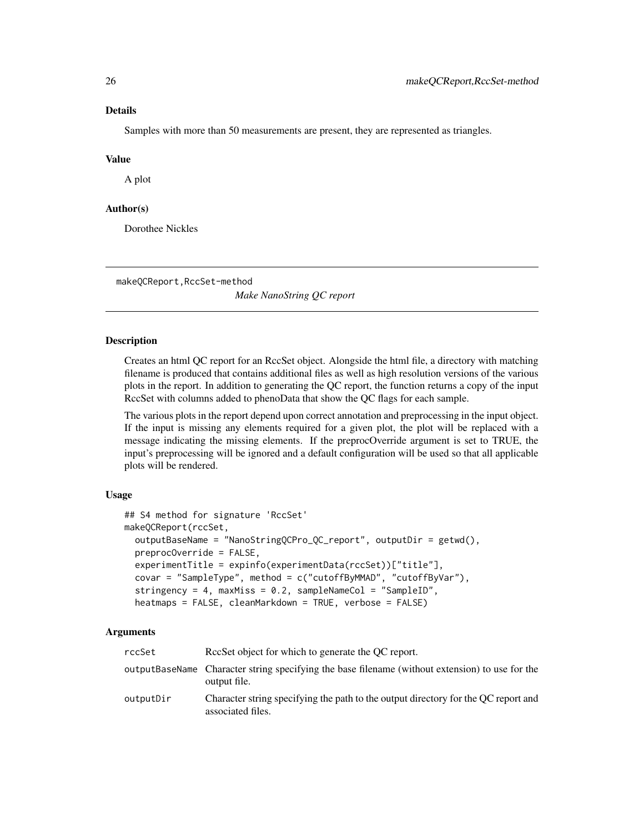#### <span id="page-25-0"></span>Details

Samples with more than 50 measurements are present, they are represented as triangles.

#### Value

A plot

### Author(s)

Dorothee Nickles

makeQCReport,RccSet-method

*Make NanoString QC report*

### Description

Creates an html QC report for an RccSet object. Alongside the html file, a directory with matching filename is produced that contains additional files as well as high resolution versions of the various plots in the report. In addition to generating the QC report, the function returns a copy of the input RccSet with columns added to phenoData that show the QC flags for each sample.

The various plots in the report depend upon correct annotation and preprocessing in the input object. If the input is missing any elements required for a given plot, the plot will be replaced with a message indicating the missing elements. If the preprocOverride argument is set to TRUE, the input's preprocessing will be ignored and a default configuration will be used so that all applicable plots will be rendered.

#### Usage

```
## S4 method for signature 'RccSet'
makeQCReport(rccSet,
 outputBaseName = "NanoStringQCPro_QC_report", outputDir = getwd(),
 preprocOverride = FALSE,
  experimentTitle = expinfo(experimentData(rccSet))["title"],
  covar = "SampleType", method = c("cutoffByMMAD", "cutoffByVar"),
  stringency = 4, maxMiss = 0.2, sampleNameCol = "SampleID",
  heatmaps = FALSE, cleanMarkdown = TRUE, verbose = FALSE)
```
#### Arguments

| rccSet    | Recorder Recorder for which to generate the OC report.                                                          |
|-----------|-----------------------------------------------------------------------------------------------------------------|
|           | outputBaseName Character string specifying the base filename (without extension) to use for the<br>output file. |
| outputDir | Character string specifying the path to the output directory for the OC report and<br>associated files.         |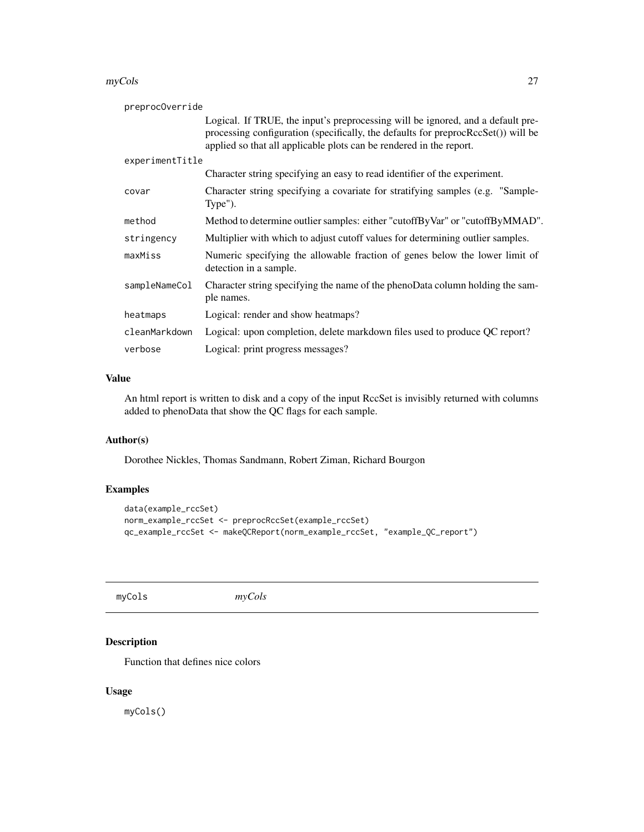#### <span id="page-26-0"></span>myCols 27

| preprocOverride |                                                                                                                                                                                                                                                 |
|-----------------|-------------------------------------------------------------------------------------------------------------------------------------------------------------------------------------------------------------------------------------------------|
|                 | Logical. If TRUE, the input's preprocessing will be ignored, and a default pre-<br>processing configuration (specifically, the defaults for preproc $RccSet()$ ) will be<br>applied so that all applicable plots can be rendered in the report. |
| experimentTitle |                                                                                                                                                                                                                                                 |
|                 | Character string specifying an easy to read identifier of the experiment.                                                                                                                                                                       |
| covar           | Character string specifying a covariate for stratifying samples (e.g. "Sample-<br>Type").                                                                                                                                                       |
| method          | Method to determine outlier samples: either "cutoffByVar" or "cutoffByMMAD".                                                                                                                                                                    |
| stringency      | Multiplier with which to adjust cutoff values for determining outlier samples.                                                                                                                                                                  |
| maxMiss         | Numeric specifying the allowable fraction of genes below the lower limit of<br>detection in a sample.                                                                                                                                           |
| sampleNameCol   | Character string specifying the name of the phenoData column holding the sam-<br>ple names.                                                                                                                                                     |
| heatmaps        | Logical: render and show heatmaps?                                                                                                                                                                                                              |
| cleanMarkdown   | Logical: upon completion, delete markdown files used to produce QC report?                                                                                                                                                                      |
| verbose         | Logical: print progress messages?                                                                                                                                                                                                               |

### Value

An html report is written to disk and a copy of the input RccSet is invisibly returned with columns added to phenoData that show the QC flags for each sample.

### Author(s)

Dorothee Nickles, Thomas Sandmann, Robert Ziman, Richard Bourgon

### Examples

```
data(example_rccSet)
norm_example_rccSet <- preprocRccSet(example_rccSet)
qc_example_rccSet <- makeQCReport(norm_example_rccSet, "example_QC_report")
```
myCols *myCols*

### Description

Function that defines nice colors

### Usage

myCols()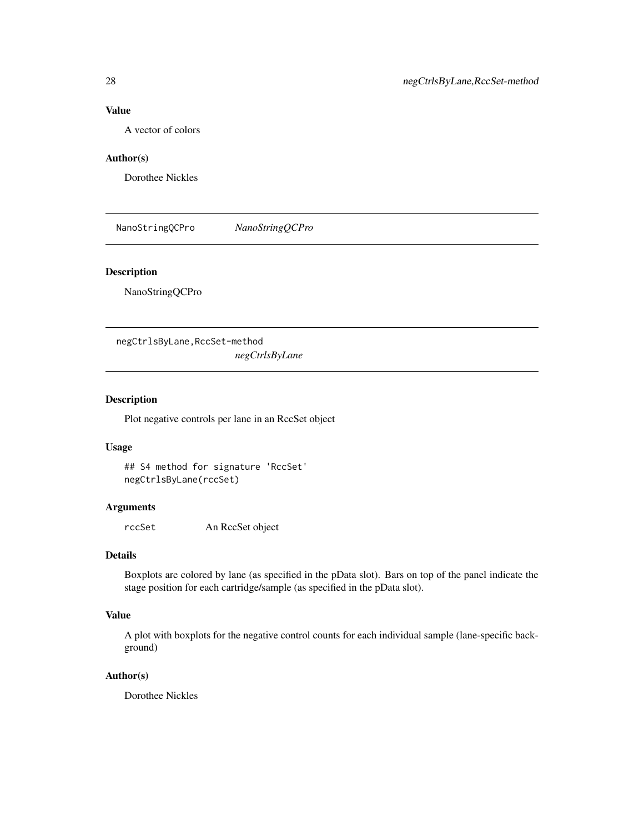### <span id="page-27-0"></span>Value

A vector of colors

#### Author(s)

Dorothee Nickles

NanoStringQCPro *NanoStringQCPro*

### Description

NanoStringQCPro

negCtrlsByLane,RccSet-method *negCtrlsByLane*

### Description

Plot negative controls per lane in an RccSet object

### Usage

```
## S4 method for signature 'RccSet'
negCtrlsByLane(rccSet)
```
### Arguments

rccSet An RccSet object

#### Details

Boxplots are colored by lane (as specified in the pData slot). Bars on top of the panel indicate the stage position for each cartridge/sample (as specified in the pData slot).

### Value

A plot with boxplots for the negative control counts for each individual sample (lane-specific background)

### Author(s)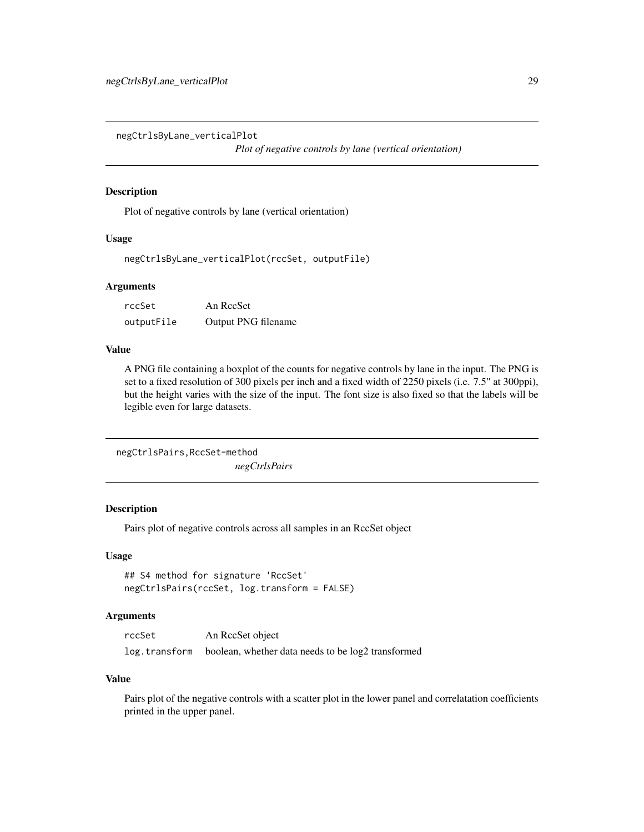<span id="page-28-0"></span>negCtrlsByLane\_verticalPlot

*Plot of negative controls by lane (vertical orientation)*

### Description

Plot of negative controls by lane (vertical orientation)

#### Usage

negCtrlsByLane\_verticalPlot(rccSet, outputFile)

#### **Arguments**

| rccSet     | An RccSet           |
|------------|---------------------|
| outputFile | Output PNG filename |

#### Value

A PNG file containing a boxplot of the counts for negative controls by lane in the input. The PNG is set to a fixed resolution of 300 pixels per inch and a fixed width of 2250 pixels (i.e. 7.5" at 300ppi), but the height varies with the size of the input. The font size is also fixed so that the labels will be legible even for large datasets.

```
negCtrlsPairs,RccSet-method
                        negCtrlsPairs
```
### Description

Pairs plot of negative controls across all samples in an RccSet object

#### Usage

```
## S4 method for signature 'RccSet'
negCtrlsPairs(rccSet, log.transform = FALSE)
```
### Arguments

| rccSet | An RecSet object                                                 |
|--------|------------------------------------------------------------------|
|        | log.transform boolean, whether data needs to be log2 transformed |

#### Value

Pairs plot of the negative controls with a scatter plot in the lower panel and correlatation coefficients printed in the upper panel.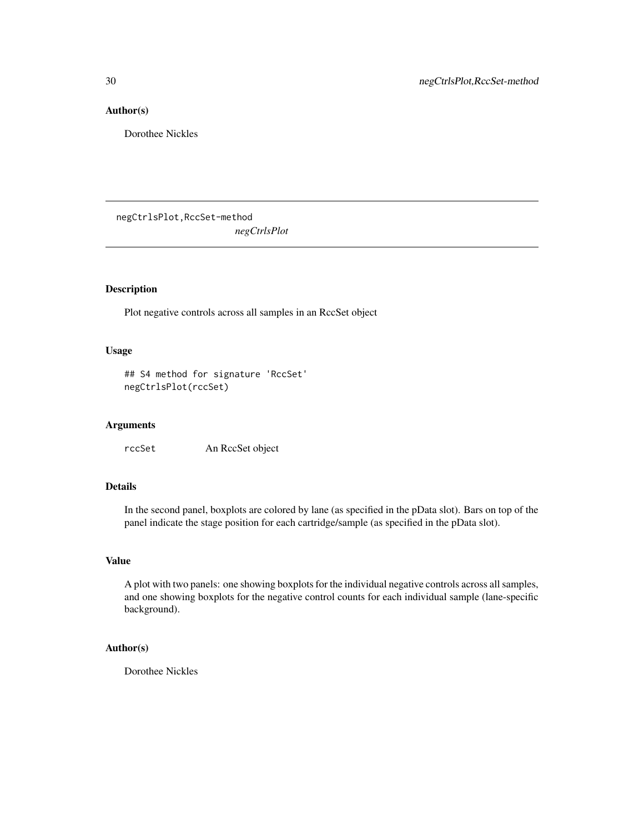### <span id="page-29-0"></span>Author(s)

Dorothee Nickles

negCtrlsPlot,RccSet-method *negCtrlsPlot*

### Description

Plot negative controls across all samples in an RccSet object

#### Usage

```
## S4 method for signature 'RccSet'
negCtrlsPlot(rccSet)
```
### Arguments

rccSet An RccSet object

### Details

In the second panel, boxplots are colored by lane (as specified in the pData slot). Bars on top of the panel indicate the stage position for each cartridge/sample (as specified in the pData slot).

### Value

A plot with two panels: one showing boxplots for the individual negative controls across all samples, and one showing boxplots for the negative control counts for each individual sample (lane-specific background).

### Author(s)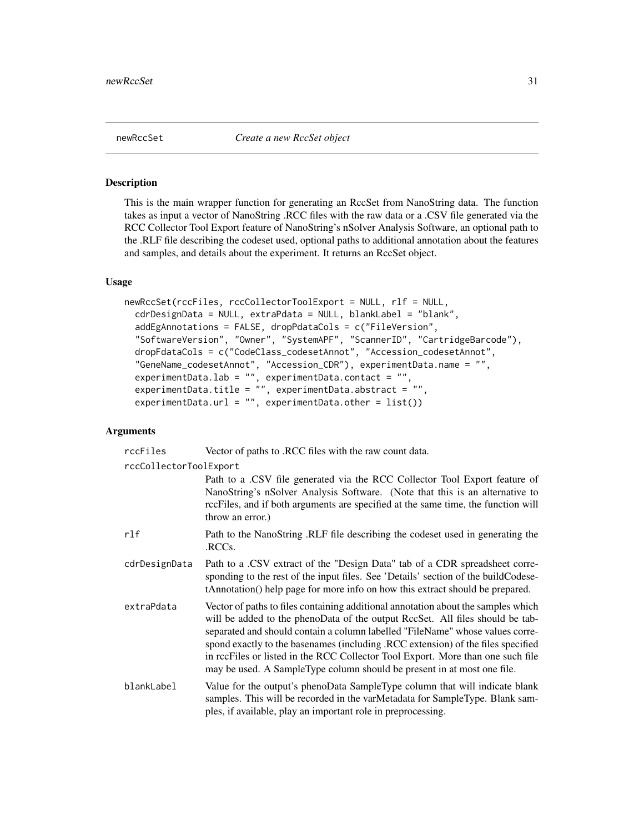<span id="page-30-0"></span>

#### **Description**

This is the main wrapper function for generating an RccSet from NanoString data. The function takes as input a vector of NanoString .RCC files with the raw data or a .CSV file generated via the RCC Collector Tool Export feature of NanoString's nSolver Analysis Software, an optional path to the .RLF file describing the codeset used, optional paths to additional annotation about the features and samples, and details about the experiment. It returns an RccSet object.

#### Usage

```
newRccSet(rccFiles, rccCollectorToolExport = NULL, rlf = NULL,
  cdrDesignData = NULL, extraPdata = NULL, blankLabel = "blank",
  addEgAnnotations = FALSE, dropPdataCols = c("FileVersion",
  "SoftwareVersion", "Owner", "SystemAPF", "ScannerID", "CartridgeBarcode"),
  dropFdataCols = c("CodeClass_codesetAnnot", "Accession_codesetAnnot",
  "GeneName_codesetAnnot", "Accession_CDR"), experimentData.name = "",
 experimentData.lab = "", experimentData.contact = "",
  experimentData.title = ", experimentData.abstract = ",
  experimentData.url = ", experimentData.other = list())
```
#### Arguments

| rccFiles               | Vector of paths to .RCC files with the raw count data.                                                                                                                                                                                                                                                                                                                                                                                                                                                |
|------------------------|-------------------------------------------------------------------------------------------------------------------------------------------------------------------------------------------------------------------------------------------------------------------------------------------------------------------------------------------------------------------------------------------------------------------------------------------------------------------------------------------------------|
| rccCollectorToolExport |                                                                                                                                                                                                                                                                                                                                                                                                                                                                                                       |
|                        | Path to a .CSV file generated via the RCC Collector Tool Export feature of<br>NanoString's nSolver Analysis Software. (Note that this is an alternative to<br>rccFiles, and if both arguments are specified at the same time, the function will<br>throw an error.)                                                                                                                                                                                                                                   |
| rlf                    | Path to the NanoString .RLF file describing the codeset used in generating the<br>.RCCs.                                                                                                                                                                                                                                                                                                                                                                                                              |
| cdrDesignData          | Path to a .CSV extract of the "Design Data" tab of a CDR spreadsheet corre-<br>sponding to the rest of the input files. See 'Details' section of the buildCodese-<br>tAnnotation() help page for more info on how this extract should be prepared.                                                                                                                                                                                                                                                    |
| extraPdata             | Vector of paths to files containing additional annotation about the samples which<br>will be added to the phenoData of the output RccSet. All files should be tab-<br>separated and should contain a column labelled "FileName" whose values corre-<br>spond exactly to the basenames (including .RCC extension) of the files specified<br>in rccFiles or listed in the RCC Collector Tool Export. More than one such file<br>may be used. A SampleType column should be present in at most one file. |
| blankLabel             | Value for the output's phenoData SampleType column that will indicate blank<br>samples. This will be recorded in the varMetadata for SampleType. Blank sam-<br>ples, if available, play an important role in preprocessing.                                                                                                                                                                                                                                                                           |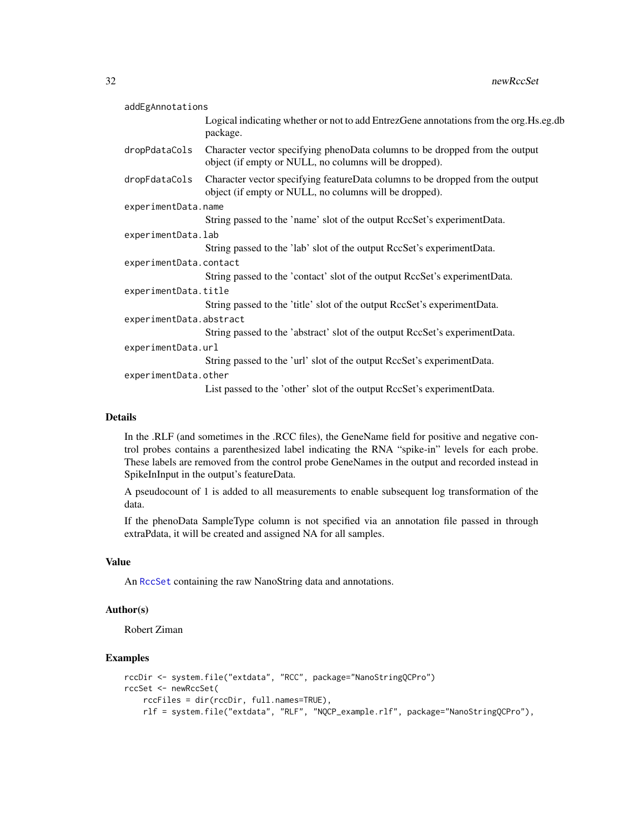<span id="page-31-0"></span>

| addEgAnnotations        |                                                                                                                                         |  |
|-------------------------|-----------------------------------------------------------------------------------------------------------------------------------------|--|
|                         | Logical indicating whether or not to add EntrezGene annotations from the org. Hs.eg.db<br>package.                                      |  |
| dropPdataCols           | Character vector specifying phenoData columns to be dropped from the output<br>object (if empty or NULL, no columns will be dropped).   |  |
| dropFdataCols           | Character vector specifying featureData columns to be dropped from the output<br>object (if empty or NULL, no columns will be dropped). |  |
| experimentData.name     |                                                                                                                                         |  |
|                         | String passed to the 'name' slot of the output RccSet's experiment Data.                                                                |  |
| experimentData.lab      |                                                                                                                                         |  |
|                         | String passed to the 'lab' slot of the output RccSet's experiment Data.                                                                 |  |
| experimentData.contact  |                                                                                                                                         |  |
|                         | String passed to the 'contact' slot of the output RccSet's experiment Data.                                                             |  |
| experimentData.title    |                                                                                                                                         |  |
|                         | String passed to the 'title' slot of the output RccSet's experiment Data.                                                               |  |
| experimentData.abstract |                                                                                                                                         |  |
|                         | String passed to the 'abstract' slot of the output RccSet's experimentData.                                                             |  |
| experimentData.url      |                                                                                                                                         |  |
|                         | String passed to the 'url' slot of the output RccSet's experiment Data.                                                                 |  |
| experimentData.other    |                                                                                                                                         |  |
|                         | List passed to the 'other' slot of the output RccSet's experiment Data.                                                                 |  |
|                         |                                                                                                                                         |  |

#### Details

In the .RLF (and sometimes in the .RCC files), the GeneName field for positive and negative control probes contains a parenthesized label indicating the RNA "spike-in" levels for each probe. These labels are removed from the control probe GeneNames in the output and recorded instead in SpikeInInput in the output's featureData.

A pseudocount of 1 is added to all measurements to enable subsequent log transformation of the data.

If the phenoData SampleType column is not specified via an annotation file passed in through extraPdata, it will be created and assigned NA for all samples.

### Value

An [RccSet](#page-46-1) containing the raw NanoString data and annotations.

#### Author(s)

Robert Ziman

### Examples

```
rccDir <- system.file("extdata", "RCC", package="NanoStringQCPro")
rccSet <- newRccSet(
   rccFiles = dir(rccDir, full.names=TRUE),
   rlf = system.file("extdata", "RLF", "NQCP_example.rlf", package="NanoStringQCPro"),
```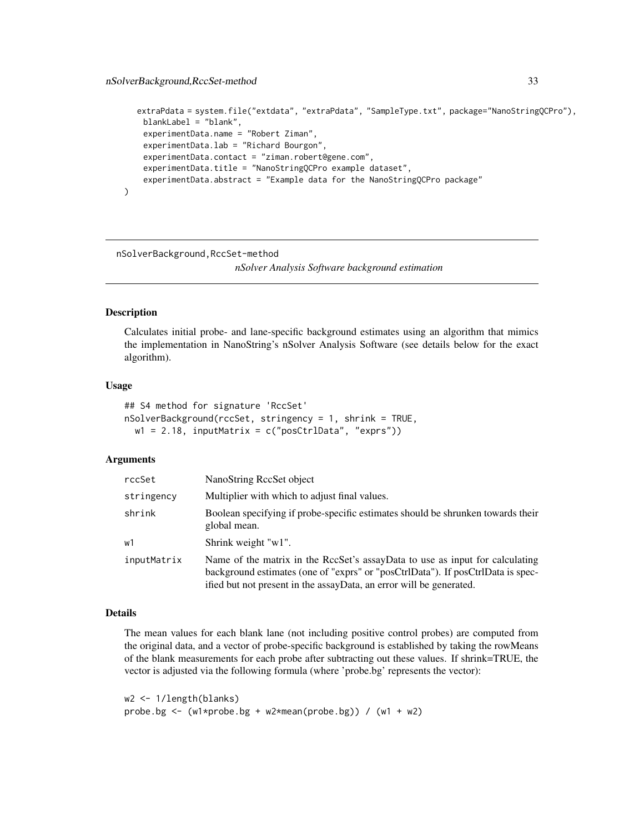```
extraPdata = system.file("extdata", "extraPdata", "SampleType.txt", package="NanoStringQCPro"),
   blankLabel = "blank",
    experimentData.name = "Robert Ziman",
   experimentData.lab = "Richard Bourgon",
   experimentData.contact = "ziman.robert@gene.com",
   experimentData.title = "NanoStringQCPro example dataset",
    experimentData.abstract = "Example data for the NanoStringQCPro package"
)
```
nSolverBackground,RccSet-method

*nSolver Analysis Software background estimation*

#### Description

Calculates initial probe- and lane-specific background estimates using an algorithm that mimics the implementation in NanoString's nSolver Analysis Software (see details below for the exact algorithm).

#### Usage

```
## S4 method for signature 'RccSet'
nSolverBackground(rccSet, stringency = 1, shrink = TRUE,
 w1 = 2.18, inputMatrix = c("posCtrlData", "exprs"))
```
#### Arguments

| rccSet      | NanoString RecSet object                                                                                                                                                                                                               |
|-------------|----------------------------------------------------------------------------------------------------------------------------------------------------------------------------------------------------------------------------------------|
| stringency  | Multiplier with which to adjust final values.                                                                                                                                                                                          |
| shrink      | Boolean specifying if probe-specific estimates should be shrunken towards their<br>global mean.                                                                                                                                        |
| w1          | Shrink weight "w1".                                                                                                                                                                                                                    |
| inputMatrix | Name of the matrix in the RccSet's assayData to use as input for calculating<br>background estimates (one of "exprs" or "posCtrlData"). If posCtrlData is spec-<br>ified but not present in the assayData, an error will be generated. |

### Details

The mean values for each blank lane (not including positive control probes) are computed from the original data, and a vector of probe-specific background is established by taking the rowMeans of the blank measurements for each probe after subtracting out these values. If shrink=TRUE, the vector is adjusted via the following formula (where 'probe.bg' represents the vector):

```
w2 <- 1/length(blanks)
probe.bg <- (w1*probe.bg + w2*mean(probe.bg)) / (w1 + w2)
```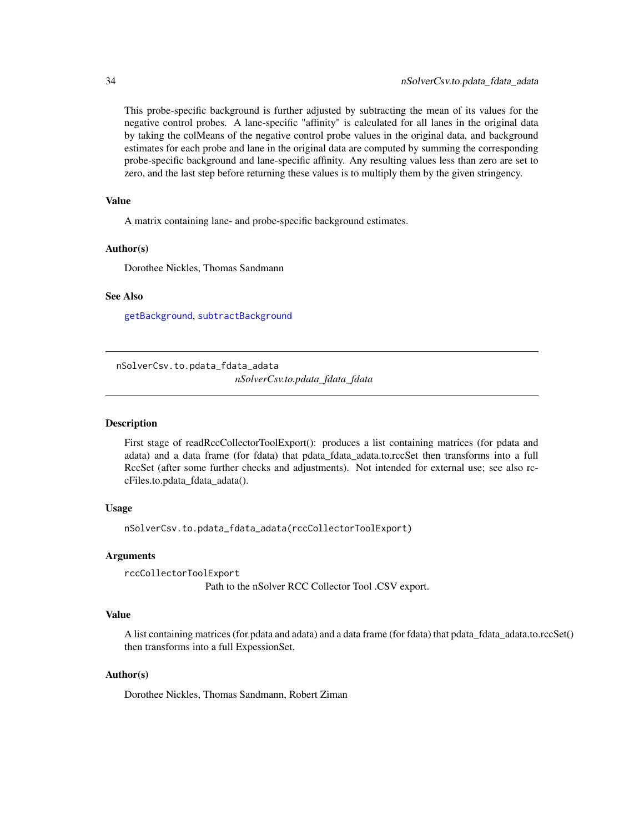This probe-specific background is further adjusted by subtracting the mean of its values for the negative control probes. A lane-specific "affinity" is calculated for all lanes in the original data by taking the colMeans of the negative control probe values in the original data, and background estimates for each probe and lane in the original data are computed by summing the corresponding probe-specific background and lane-specific affinity. Any resulting values less than zero are set to zero, and the last step before returning these values is to multiply them by the given stringency.

### Value

A matrix containing lane- and probe-specific background estimates.

#### Author(s)

Dorothee Nickles, Thomas Sandmann

### See Also

[getBackground](#page-20-1), [subtractBackground](#page-52-1)

nSolverCsv.to.pdata\_fdata\_adata

*nSolverCsv.to.pdata\_fdata\_fdata*

#### Description

First stage of readRccCollectorToolExport(): produces a list containing matrices (for pdata and adata) and a data frame (for fdata) that pdata\_fdata\_adata.to.rccSet then transforms into a full RccSet (after some further checks and adjustments). Not intended for external use; see also rccFiles.to.pdata\_fdata\_adata().

### Usage

nSolverCsv.to.pdata\_fdata\_adata(rccCollectorToolExport)

#### Arguments

rccCollectorToolExport Path to the nSolver RCC Collector Tool .CSV export.

#### Value

A list containing matrices (for pdata and adata) and a data frame (for fdata) that pdata\_fdata\_adata.to.rccSet() then transforms into a full ExpessionSet.

### Author(s)

Dorothee Nickles, Thomas Sandmann, Robert Ziman

<span id="page-33-0"></span>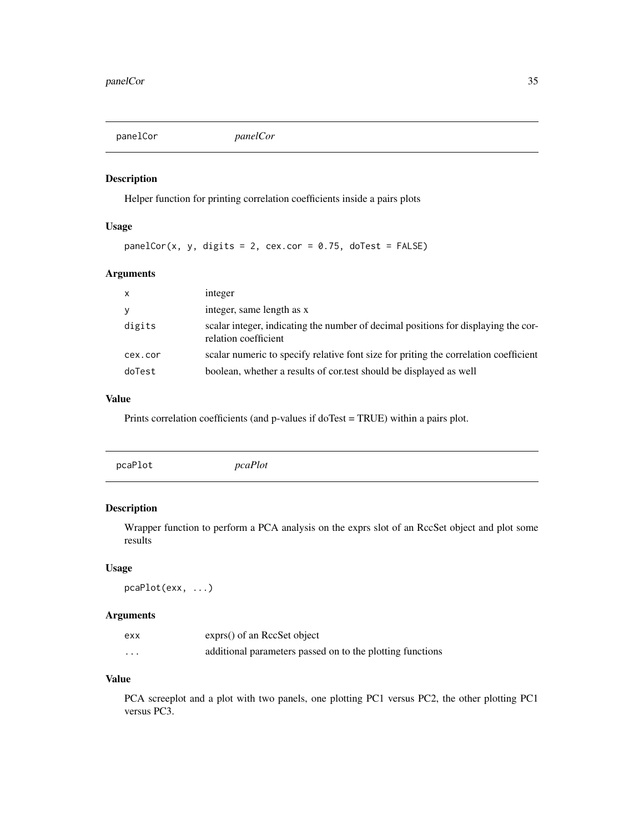<span id="page-34-0"></span>panelCor *panelCor*

### Description

Helper function for printing correlation coefficients inside a pairs plots

### Usage

 $panelCor(x, y, digits = 2, cex.cor = 0.75, doTest = FALSE)$ 

### Arguments

| $\mathsf{x}$ | integer                                                                                                    |
|--------------|------------------------------------------------------------------------------------------------------------|
| y            | integer, same length as x                                                                                  |
| digits       | scalar integer, indicating the number of decimal positions for displaying the cor-<br>relation coefficient |
| cex.cor      | scalar numeric to specify relative font size for priting the correlation coefficient                       |
| doTest       | boolean, whether a results of cor.test should be displayed as well                                         |

### Value

Prints correlation coefficients (and p-values if doTest = TRUE) within a pairs plot.

### Description

Wrapper function to perform a PCA analysis on the exprs slot of an RccSet object and plot some results

#### Usage

```
pcaPlot(exx, ...)
```
#### Arguments

| exx     | exprs() of an RccSet object                               |
|---------|-----------------------------------------------------------|
| $\cdot$ | additional parameters passed on to the plotting functions |

### Value

PCA screeplot and a plot with two panels, one plotting PC1 versus PC2, the other plotting PC1 versus PC3.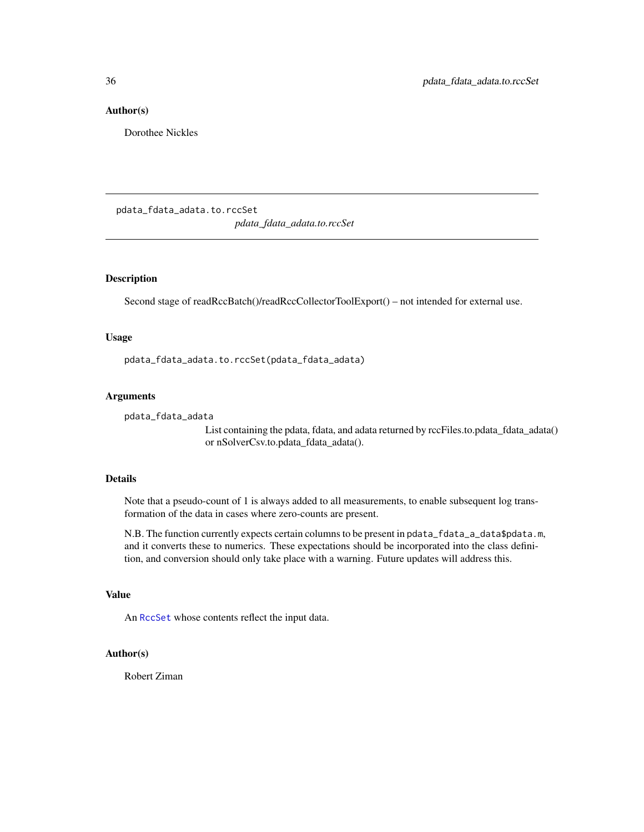#### <span id="page-35-0"></span>Author(s)

Dorothee Nickles

pdata\_fdata\_adata.to.rccSet

*pdata\_fdata\_adata.to.rccSet*

### Description

Second stage of readRccBatch()/readRccCollectorToolExport() – not intended for external use.

#### Usage

pdata\_fdata\_adata.to.rccSet(pdata\_fdata\_adata)

#### Arguments

```
pdata_fdata_adata
```
List containing the pdata, fdata, and adata returned by rccFiles.to.pdata\_fdata\_adata() or nSolverCsv.to.pdata\_fdata\_adata().

#### Details

Note that a pseudo-count of 1 is always added to all measurements, to enable subsequent log transformation of the data in cases where zero-counts are present.

N.B. The function currently expects certain columns to be present in pdata\_fdata\_a\_data\$pdata.m, and it converts these to numerics. These expectations should be incorporated into the class definition, and conversion should only take place with a warning. Future updates will address this.

### Value

An [RccSet](#page-46-1) whose contents reflect the input data.

#### Author(s)

Robert Ziman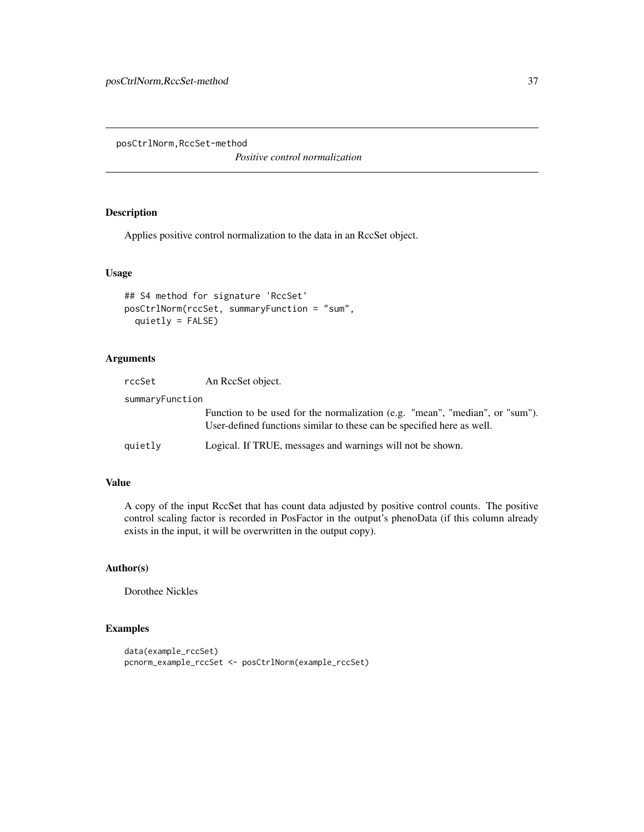<span id="page-36-0"></span>posCtrlNorm,RccSet-method

*Positive control normalization*

### Description

Applies positive control normalization to the data in an RccSet object.

#### Usage

```
## S4 method for signature 'RccSet'
posCtrlNorm(rccSet, summaryFunction = "sum",
 quietly = FALSE)
```
### Arguments

| rccSet          | An ReeSet object.                                                                                                                                      |
|-----------------|--------------------------------------------------------------------------------------------------------------------------------------------------------|
| summaryFunction |                                                                                                                                                        |
|                 | Function to be used for the normalization (e.g. "mean", "median", or "sum").<br>User-defined functions similar to these can be specified here as well. |
| quietly         | Logical. If TRUE, messages and warnings will not be shown.                                                                                             |

#### Value

A copy of the input RccSet that has count data adjusted by positive control counts. The positive control scaling factor is recorded in PosFactor in the output's phenoData (if this column already exists in the input, it will be overwritten in the output copy).

### Author(s)

Dorothee Nickles

### Examples

```
data(example_rccSet)
pcnorm_example_rccSet <- posCtrlNorm(example_rccSet)
```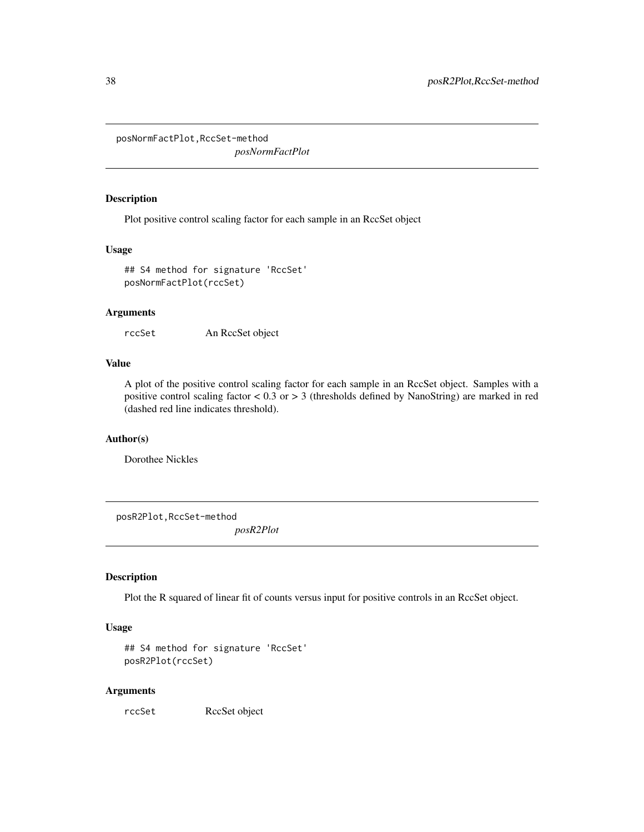<span id="page-37-0"></span>posNormFactPlot,RccSet-method

*posNormFactPlot*

#### Description

Plot positive control scaling factor for each sample in an RccSet object

#### Usage

```
## S4 method for signature 'RccSet'
posNormFactPlot(rccSet)
```
### Arguments

rccSet An RccSet object

### Value

A plot of the positive control scaling factor for each sample in an RccSet object. Samples with a positive control scaling factor < 0.3 or > 3 (thresholds defined by NanoString) are marked in red (dashed red line indicates threshold).

### Author(s)

Dorothee Nickles

posR2Plot,RccSet-method

*posR2Plot*

### Description

Plot the R squared of linear fit of counts versus input for positive controls in an RccSet object.

### Usage

```
## S4 method for signature 'RccSet'
posR2Plot(rccSet)
```
#### Arguments

rccSet RccSet object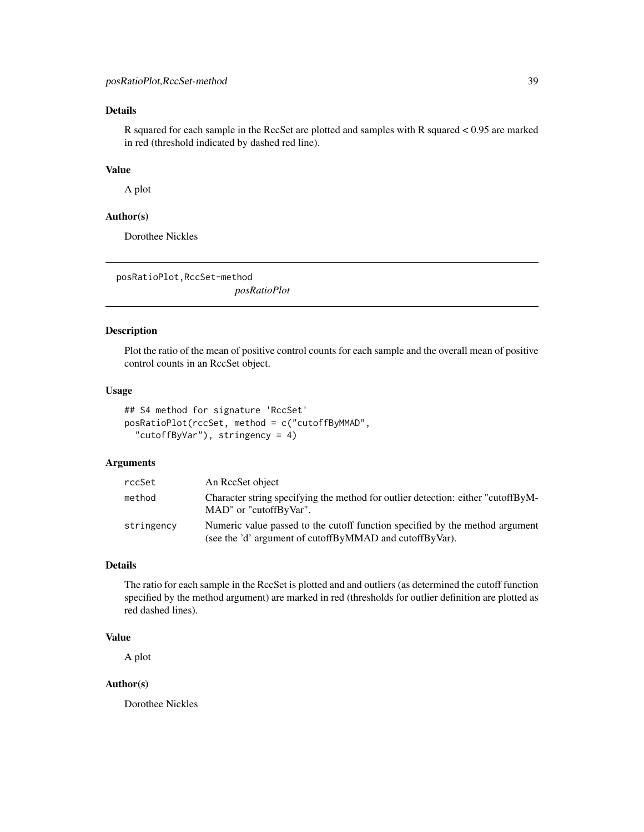### <span id="page-38-0"></span>Details

R squared for each sample in the RccSet are plotted and samples with R squared < 0.95 are marked in red (threshold indicated by dashed red line).

### Value

A plot

#### Author(s)

Dorothee Nickles

posRatioPlot,RccSet-method

*posRatioPlot*

#### Description

Plot the ratio of the mean of positive control counts for each sample and the overall mean of positive control counts in an RccSet object.

#### Usage

```
## S4 method for signature 'RccSet'
posRatioPlot(rccSet, method = c("cutoffByMMAD",
  "cutoffByVar"), stringency = 4)
```
### Arguments

| rccSet     | An RecSet object                                                                                                                        |
|------------|-----------------------------------------------------------------------------------------------------------------------------------------|
| method     | Character string specifying the method for outlier detection: either "cutoffByM-<br>MAD" or "cutoffByVar".                              |
| stringency | Numeric value passed to the cutoff function specified by the method argument<br>(see the 'd' argument of cutoffByMMAD and cutoffByVar). |

### Details

The ratio for each sample in the RccSet is plotted and and outliers (as determined the cutoff function specified by the method argument) are marked in red (thresholds for outlier definition are plotted as red dashed lines).

#### Value

A plot

#### Author(s)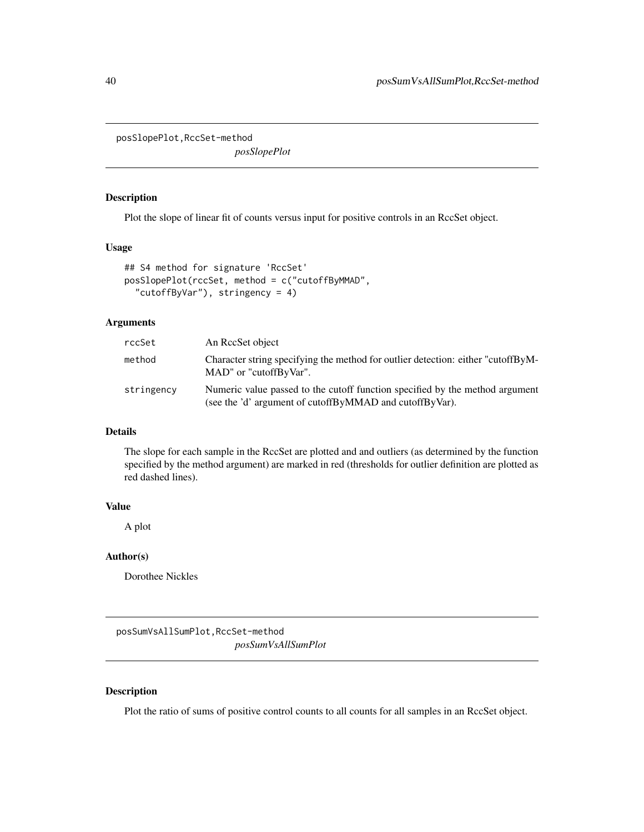<span id="page-39-0"></span>posSlopePlot,RccSet-method

*posSlopePlot*

### Description

Plot the slope of linear fit of counts versus input for positive controls in an RccSet object.

#### Usage

```
## S4 method for signature 'RccSet'
posSlopePlot(rccSet, method = c("cutoffByMMAD",
  "cutoffByVar"), stringency = 4)
```
#### Arguments

| rccSet     | An RecSet object                                                                                                                        |
|------------|-----------------------------------------------------------------------------------------------------------------------------------------|
| method     | Character string specifying the method for outlier detection: either "cutoffByM-<br>MAD" or "cutoffByVar".                              |
| stringency | Numeric value passed to the cutoff function specified by the method argument<br>(see the 'd' argument of cutoffByMMAD and cutoffByVar). |

### Details

The slope for each sample in the RccSet are plotted and and outliers (as determined by the function specified by the method argument) are marked in red (thresholds for outlier definition are plotted as red dashed lines).

### Value

A plot

#### Author(s)

Dorothee Nickles

posSumVsAllSumPlot,RccSet-method *posSumVsAllSumPlot*

#### Description

Plot the ratio of sums of positive control counts to all counts for all samples in an RccSet object.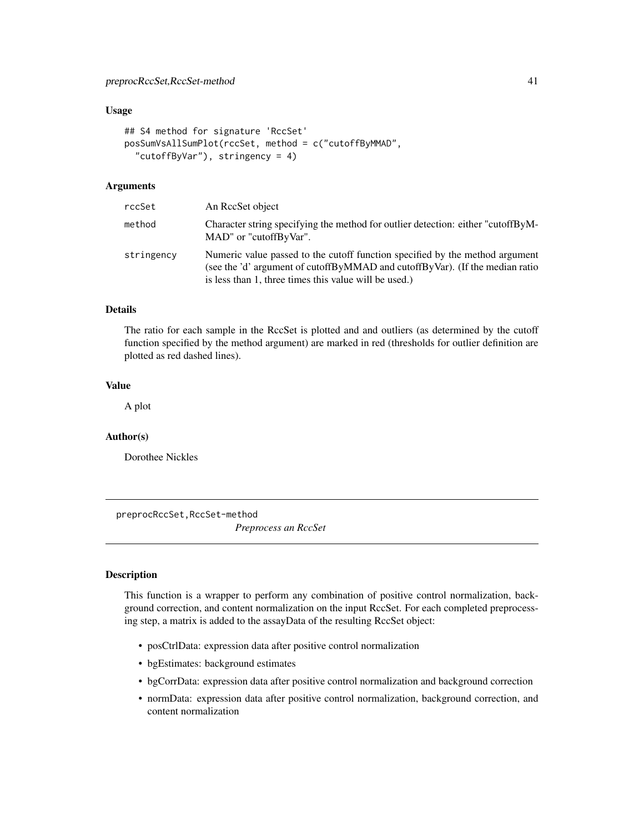### <span id="page-40-0"></span>preprocRccSet,RccSet-method 41

#### Usage

```
## S4 method for signature 'RccSet'
posSumVsAllSumPlot(rccSet, method = c("cutoffByMMAD",
  "cutoffByVar"), stringency = 4)
```
### Arguments

| rccSet     | An RecSet object                                                                                                                                                                                                      |
|------------|-----------------------------------------------------------------------------------------------------------------------------------------------------------------------------------------------------------------------|
| method     | Character string specifying the method for outlier detection: either "cutoffByM-<br>MAD" or "cutoffByVar".                                                                                                            |
| stringency | Numeric value passed to the cutoff function specified by the method argument<br>(see the 'd' argument of cutoffByMMAD and cutoffByVar). (If the median ratio<br>is less than 1, three times this value will be used.) |

#### Details

The ratio for each sample in the RccSet is plotted and and outliers (as determined by the cutoff function specified by the method argument) are marked in red (thresholds for outlier definition are plotted as red dashed lines).

### Value

A plot

#### Author(s)

Dorothee Nickles

preprocRccSet,RccSet-method

*Preprocess an RccSet*

#### Description

This function is a wrapper to perform any combination of positive control normalization, background correction, and content normalization on the input RccSet. For each completed preprocessing step, a matrix is added to the assayData of the resulting RccSet object:

- posCtrlData: expression data after positive control normalization
- bgEstimates: background estimates
- bgCorrData: expression data after positive control normalization and background correction
- normData: expression data after positive control normalization, background correction, and content normalization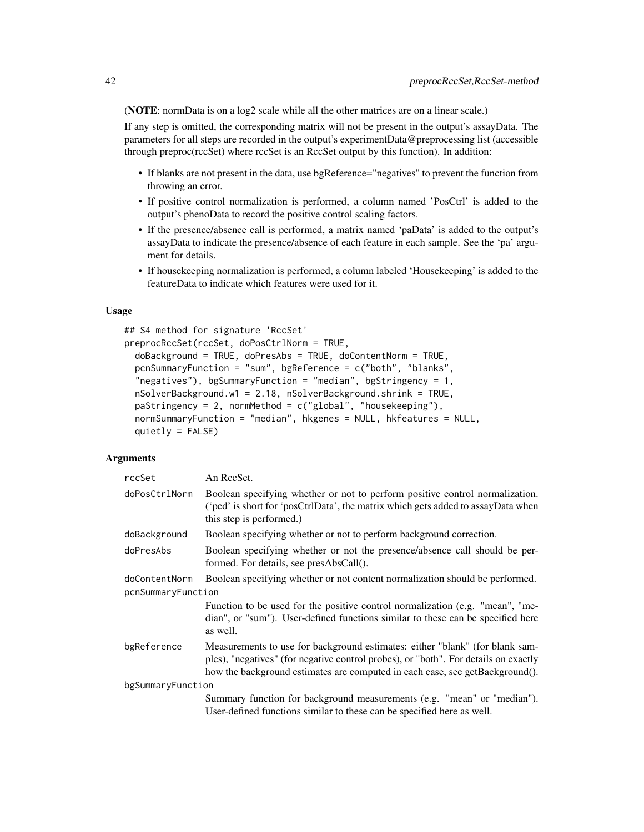(NOTE: normData is on a log2 scale while all the other matrices are on a linear scale.)

If any step is omitted, the corresponding matrix will not be present in the output's assayData. The parameters for all steps are recorded in the output's experimentData@preprocessing list (accessible through preproc(rccSet) where rccSet is an RccSet output by this function). In addition:

- If blanks are not present in the data, use bgReference="negatives" to prevent the function from throwing an error.
- If positive control normalization is performed, a column named 'PosCtrl' is added to the output's phenoData to record the positive control scaling factors.
- If the presence/absence call is performed, a matrix named 'paData' is added to the output's assayData to indicate the presence/absence of each feature in each sample. See the 'pa' argument for details.
- If housekeeping normalization is performed, a column labeled 'Housekeeping' is added to the featureData to indicate which features were used for it.

#### Usage

```
## S4 method for signature 'RccSet'
preprocRccSet(rccSet, doPosCtrlNorm = TRUE,
  doBackground = TRUE, doPresAbs = TRUE, doContentNorm = TRUE,
  pcnSummaryFunction = "sum", bgReference = c("both", "blanks",
  "negatives"), bgSummaryFunction = "median", bgStringency = 1,
  nSolverBackground.w1 = 2.18, nSolverBackground.shrink = TRUE,
  paStringency = 2, normMethod = c("global", "housekeeping"),normSummaryFunction = "median", hkgenes = NULL, hkfeatures = NULL,
  quietly = FALSE)
```
#### Arguments

| rccSet             | An RccSet.                                                                                                                                                                                                                                          |
|--------------------|-----------------------------------------------------------------------------------------------------------------------------------------------------------------------------------------------------------------------------------------------------|
| doPosCtrlNorm      | Boolean specifying whether or not to perform positive control normalization.<br>('pcd' is short for 'posCtrlData', the matrix which gets added to assayData when<br>this step is performed.)                                                        |
| doBackground       | Boolean specifying whether or not to perform background correction.                                                                                                                                                                                 |
| doPresAbs          | Boolean specifying whether or not the presence/absence call should be per-<br>formed. For details, see presAbsCall().                                                                                                                               |
| doContentNorm      | Boolean specifying whether or not content normalization should be performed.                                                                                                                                                                        |
| pcnSummaryFunction |                                                                                                                                                                                                                                                     |
|                    | Function to be used for the positive control normalization (e.g. "mean", "me-<br>dian", or "sum"). User-defined functions similar to these can be specified here<br>as well.                                                                        |
| bgReference        | Measurements to use for background estimates: either "blank" (for blank sam-<br>ples), "negatives" (for negative control probes), or "both". For details on exactly<br>how the background estimates are computed in each case, see getBackground(). |
| bgSummaryFunction  |                                                                                                                                                                                                                                                     |
|                    | Summary function for background measurements (e.g. "mean" or "median").                                                                                                                                                                             |
|                    | User-defined functions similar to these can be specified here as well.                                                                                                                                                                              |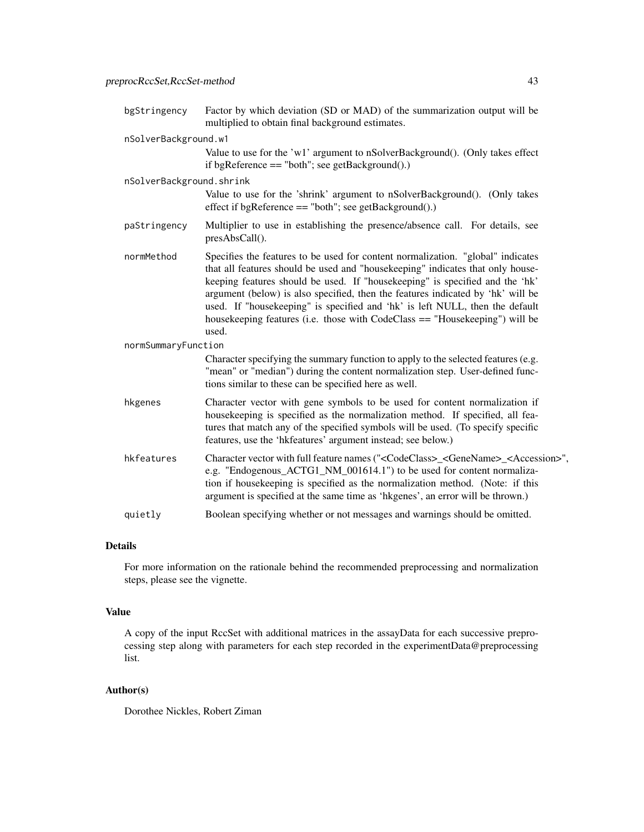| bgStringency             | Factor by which deviation (SD or MAD) of the summarization output will be<br>multiplied to obtain final background estimates.                                                                                                                                                                                                                                                                                                                                                                                |
|--------------------------|--------------------------------------------------------------------------------------------------------------------------------------------------------------------------------------------------------------------------------------------------------------------------------------------------------------------------------------------------------------------------------------------------------------------------------------------------------------------------------------------------------------|
| nSolverBackground.w1     |                                                                                                                                                                                                                                                                                                                                                                                                                                                                                                              |
|                          | Value to use for the 'w1' argument to nSolverBackground(). (Only takes effect<br>if bgReference $==$ "both"; see getBackground().)                                                                                                                                                                                                                                                                                                                                                                           |
| nSolverBackground.shrink |                                                                                                                                                                                                                                                                                                                                                                                                                                                                                                              |
|                          | Value to use for the 'shrink' argument to nSolverBackground(). (Only takes<br>effect if bgReference $==$ "both"; see getBackground().)                                                                                                                                                                                                                                                                                                                                                                       |
| paStringency             | Multiplier to use in establishing the presence/absence call. For details, see<br>presAbsCall().                                                                                                                                                                                                                                                                                                                                                                                                              |
| normMethod               | Specifies the features to be used for content normalization. "global" indicates<br>that all features should be used and "housekeeping" indicates that only house-<br>keeping features should be used. If "housekeeping" is specified and the 'hk'<br>argument (below) is also specified, then the features indicated by 'hk' will be<br>used. If "housekeeping" is specified and 'hk' is left NULL, then the default<br>housekeeping features (i.e. those with CodeClass == "Housekeeping") will be<br>used. |
| normSummaryFunction      |                                                                                                                                                                                                                                                                                                                                                                                                                                                                                                              |
|                          | Character specifying the summary function to apply to the selected features (e.g.<br>"mean" or "median") during the content normalization step. User-defined func-<br>tions similar to these can be specified here as well.                                                                                                                                                                                                                                                                                  |
| hkgenes                  | Character vector with gene symbols to be used for content normalization if<br>housekeeping is specified as the normalization method. If specified, all fea-<br>tures that match any of the specified symbols will be used. (To specify specific<br>features, use the 'hkfeatures' argument instead; see below.)                                                                                                                                                                                              |
| hkfeatures               | Character vector with full feature names (" <codeclass>_<genename>_<accession>",<br/>e.g. "Endogenous_ACTG1_NM_001614.1") to be used for content normaliza-<br/>tion if housekeeping is specified as the normalization method. (Note: if this<br/>argument is specified at the same time as 'hkgenes', an error will be thrown.)</accession></genename></codeclass>                                                                                                                                          |
| quietly                  | Boolean specifying whether or not messages and warnings should be omitted.                                                                                                                                                                                                                                                                                                                                                                                                                                   |

#### Details

For more information on the rationale behind the recommended preprocessing and normalization steps, please see the vignette.

#### Value

A copy of the input RccSet with additional matrices in the assayData for each successive preprocessing step along with parameters for each step recorded in the experimentData@preprocessing list.

### Author(s)

Dorothee Nickles, Robert Ziman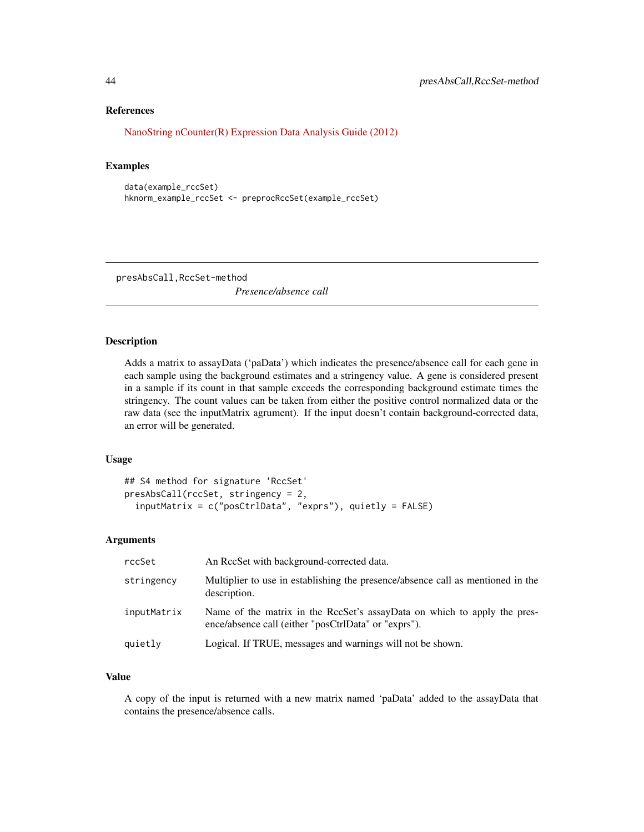#### References

[NanoString nCounter\(R\) Expression Data Analysis Guide \(2012\)](http://www.nanostring.com/media/pdf/MAN_nCounter_Gene_Expression_Data_Analysis_Guidelines.pdf)

#### Examples

```
data(example_rccSet)
hknorm_example_rccSet <- preprocRccSet(example_rccSet)
```
presAbsCall,RccSet-method

*Presence/absence call*

### Description

Adds a matrix to assayData ('paData') which indicates the presence/absence call for each gene in each sample using the background estimates and a stringency value. A gene is considered present in a sample if its count in that sample exceeds the corresponding background estimate times the stringency. The count values can be taken from either the positive control normalized data or the raw data (see the inputMatrix agrument). If the input doesn't contain background-corrected data, an error will be generated.

#### Usage

```
## S4 method for signature 'RccSet'
presAbsCall(rccSet, stringency = 2,
  inputMatrix = c("posCtrlData", "exprs"), quietly = FALSE)
```
#### Arguments

| rccSet      | An RecSet with background-corrected data.                                                                                        |
|-------------|----------------------------------------------------------------------------------------------------------------------------------|
| stringency  | Multiplier to use in establishing the presence/absence call as mentioned in the<br>description.                                  |
| inputMatrix | Name of the matrix in the RccSet's assayData on which to apply the pres-<br>ence/absence call (either "posCtrlData" or "exprs"). |
| quietly     | Logical. If TRUE, messages and warnings will not be shown.                                                                       |

### Value

A copy of the input is returned with a new matrix named 'paData' added to the assayData that contains the presence/absence calls.

<span id="page-43-0"></span>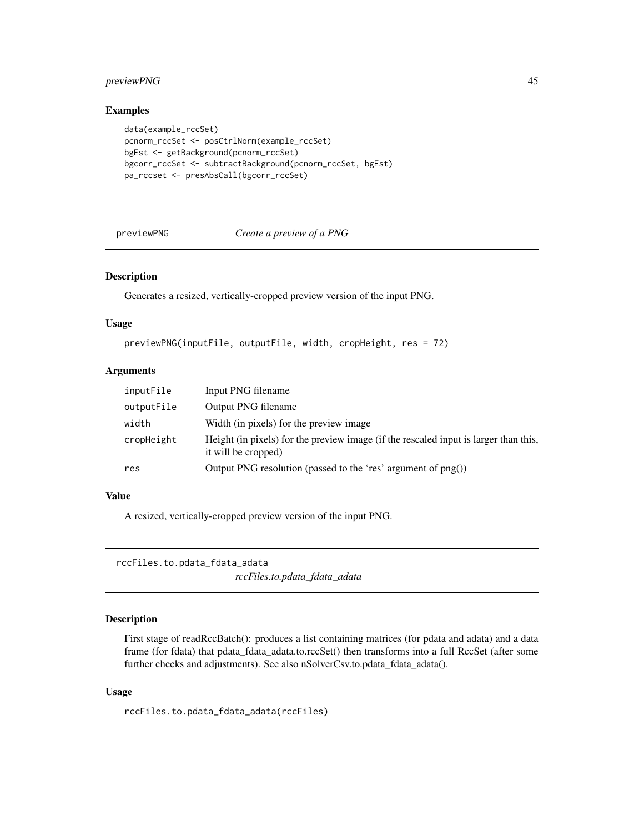### <span id="page-44-0"></span>previewPNG 45

#### Examples

```
data(example_rccSet)
pcnorm_rccSet <- posCtrlNorm(example_rccSet)
bgEst <- getBackground(pcnorm_rccSet)
bgcorr_rccSet <- subtractBackground(pcnorm_rccSet, bgEst)
pa_rccset <- presAbsCall(bgcorr_rccSet)
```
previewPNG *Create a preview of a PNG*

### Description

Generates a resized, vertically-cropped preview version of the input PNG.

### Usage

```
previewPNG(inputFile, outputFile, width, cropHeight, res = 72)
```
#### Arguments

| inputFile  | Input PNG filename                                                                                          |
|------------|-------------------------------------------------------------------------------------------------------------|
| outputFile | Output PNG filename                                                                                         |
| width      | Width (in pixels) for the preview image                                                                     |
| cropHeight | Height (in pixels) for the preview image (if the rescaled input is larger than this,<br>it will be cropped) |
| res        | Output PNG resolution (passed to the 'res' argument of png())                                               |

### Value

A resized, vertically-cropped preview version of the input PNG.

rccFiles.to.pdata\_fdata\_adata

*rccFiles.to.pdata\_fdata\_adata*

### Description

First stage of readRccBatch(): produces a list containing matrices (for pdata and adata) and a data frame (for fdata) that pdata\_fdata\_adata.to.rccSet() then transforms into a full RccSet (after some further checks and adjustments). See also nSolverCsv.to.pdata\_fdata\_adata().

#### Usage

rccFiles.to.pdata\_fdata\_adata(rccFiles)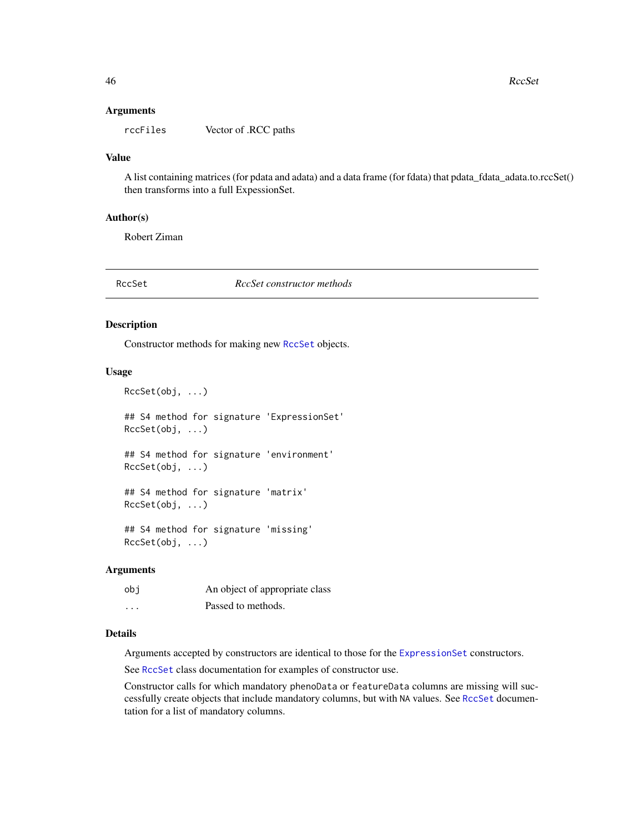#### **Arguments**

rccFiles Vector of .RCC paths

#### Value

A list containing matrices (for pdata and adata) and a data frame (for fdata) that pdata\_fdata\_adata.to.rccSet() then transforms into a full ExpessionSet.

#### Author(s)

Robert Ziman

#### RccSet *RccSet constructor methods*

#### Description

Constructor methods for making new [RccSet](#page-46-1) objects.

#### Usage

```
RccSet(obj, ...)
## S4 method for signature 'ExpressionSet'
RccSet(obj, ...)
## S4 method for signature 'environment'
RccSet(obj, ...)
## S4 method for signature 'matrix'
RccSet(obj, ...)
## S4 method for signature 'missing'
RccSet(obj, ...)
```
#### Arguments

| obi      | An object of appropriate class |
|----------|--------------------------------|
| $\cdots$ | Passed to methods.             |

### Details

Arguments accepted by constructors are identical to those for the [ExpressionSet](#page-0-0) constructors.

See [RccSet](#page-46-1) class documentation for examples of constructor use.

Constructor calls for which mandatory phenoData or featureData columns are missing will successfully create objects that include mandatory columns, but with NA values. See [RccSet](#page-46-1) documentation for a list of mandatory columns.

<span id="page-45-0"></span>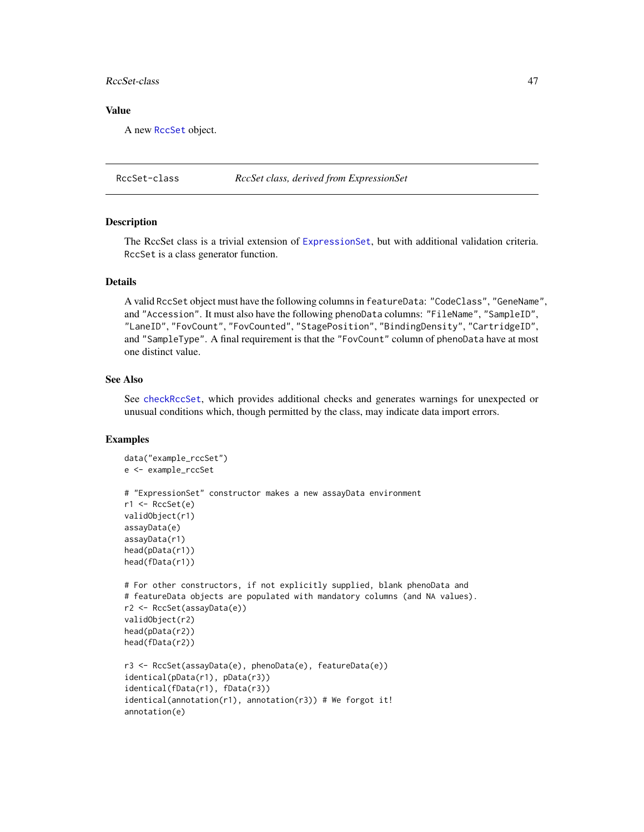#### <span id="page-46-0"></span>RccSet-class 47

### Value

A new [RccSet](#page-46-1) object.

<span id="page-46-1"></span>RccSet-class *RccSet class, derived from ExpressionSet*

#### **Description**

The RccSet class is a trivial extension of [ExpressionSet](#page-0-0), but with additional validation criteria. RccSet is a class generator function.

#### Details

A valid RccSet object must have the following columns in featureData: "CodeClass", "GeneName", and "Accession". It must also have the following phenoData columns: "FileName", "SampleID", "LaneID", "FovCount", "FovCounted", "StagePosition", "BindingDensity", "CartridgeID", and "SampleType". A final requirement is that the "FovCount" column of phenoData have at most one distinct value.

#### See Also

See [checkRccSet](#page-7-1), which provides additional checks and generates warnings for unexpected or unusual conditions which, though permitted by the class, may indicate data import errors.

#### Examples

```
data("example_rccSet")
e <- example_rccSet
# "ExpressionSet" constructor makes a new assayData environment
r1 <- RccSet(e)
validObject(r1)
assayData(e)
assayData(r1)
head(pData(r1))
head(fData(r1))
# For other constructors, if not explicitly supplied, blank phenoData and
# featureData objects are populated with mandatory columns (and NA values).
r2 <- RccSet(assayData(e))
validObject(r2)
head(pData(r2))
head(fData(r2))
r3 <- RccSet(assayData(e), phenoData(e), featureData(e))
identical(pData(r1), pData(r3))
identical(fData(r1), fData(r3))
identical(annotation(r1), annotation(r3)) # We forgot it!
annotation(e)
```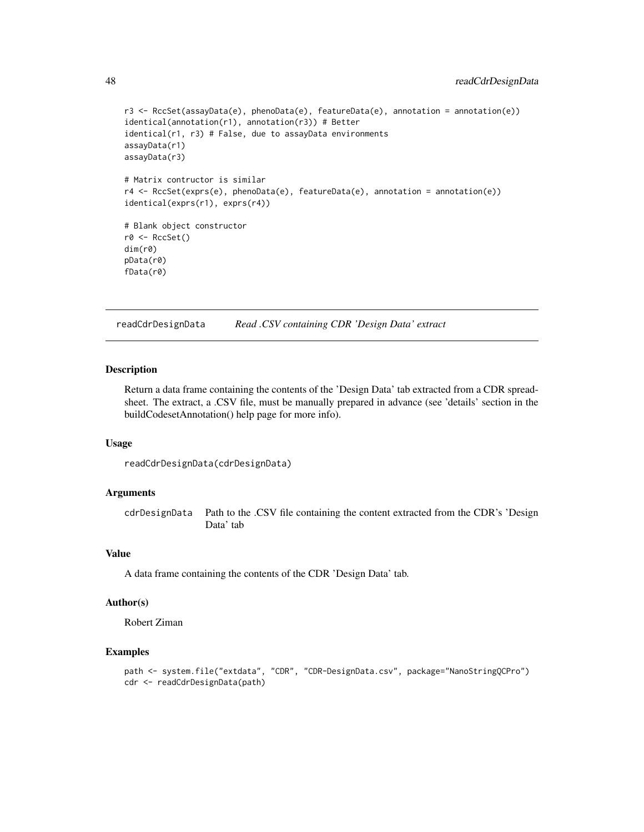```
r3 <- RccSet(assayData(e), phenoData(e), featureData(e), annotation = annotation(e))
identical(annotation(r1), annotation(r3)) # Better
identical(r1, r3) # False, due to assayData environments
assayData(r1)
assayData(r3)
# Matrix contructor is similar
r4 <- RccSet(exprs(e), phenoData(e), featureData(e), annotation = annotation(e))
identical(exprs(r1), exprs(r4))
# Blank object constructor
r0 <- RccSet()
dim(r0)
pData(r0)
fData(r0)
```
readCdrDesignData *Read .CSV containing CDR 'Design Data' extract*

### Description

Return a data frame containing the contents of the 'Design Data' tab extracted from a CDR spreadsheet. The extract, a .CSV file, must be manually prepared in advance (see 'details' section in the buildCodesetAnnotation() help page for more info).

#### Usage

```
readCdrDesignData(cdrDesignData)
```
#### Arguments

cdrDesignData Path to the .CSV file containing the content extracted from the CDR's 'Design Data' tab

### Value

A data frame containing the contents of the CDR 'Design Data' tab.

#### Author(s)

Robert Ziman

#### Examples

```
path <- system.file("extdata", "CDR", "CDR-DesignData.csv", package="NanoStringQCPro")
cdr <- readCdrDesignData(path)
```
<span id="page-47-0"></span>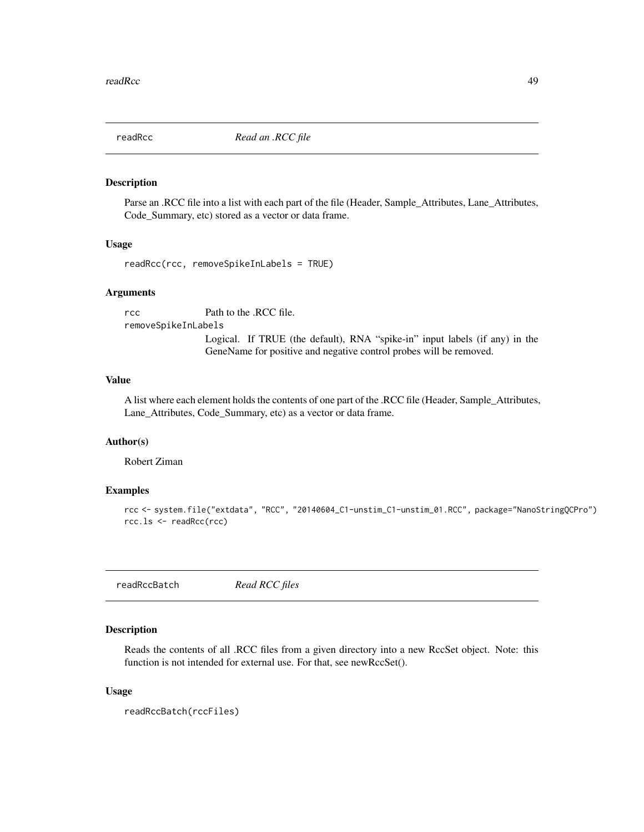<span id="page-48-0"></span>

#### Description

Parse an .RCC file into a list with each part of the file (Header, Sample\_Attributes, Lane\_Attributes, Code\_Summary, etc) stored as a vector or data frame.

#### Usage

readRcc(rcc, removeSpikeInLabels = TRUE)

#### Arguments

rcc Path to the .RCC file. removeSpikeInLabels

> Logical. If TRUE (the default), RNA "spike-in" input labels (if any) in the GeneName for positive and negative control probes will be removed.

### Value

A list where each element holds the contents of one part of the .RCC file (Header, Sample\_Attributes, Lane\_Attributes, Code\_Summary, etc) as a vector or data frame.

#### Author(s)

Robert Ziman

#### Examples

```
rcc <- system.file("extdata", "RCC", "20140604_C1-unstim_C1-unstim_01.RCC", package="NanoStringQCPro")
rcc.ls <- readRcc(rcc)
```
readRccBatch *Read RCC files*

### Description

Reads the contents of all .RCC files from a given directory into a new RccSet object. Note: this function is not intended for external use. For that, see newRccSet().

#### Usage

```
readRccBatch(rccFiles)
```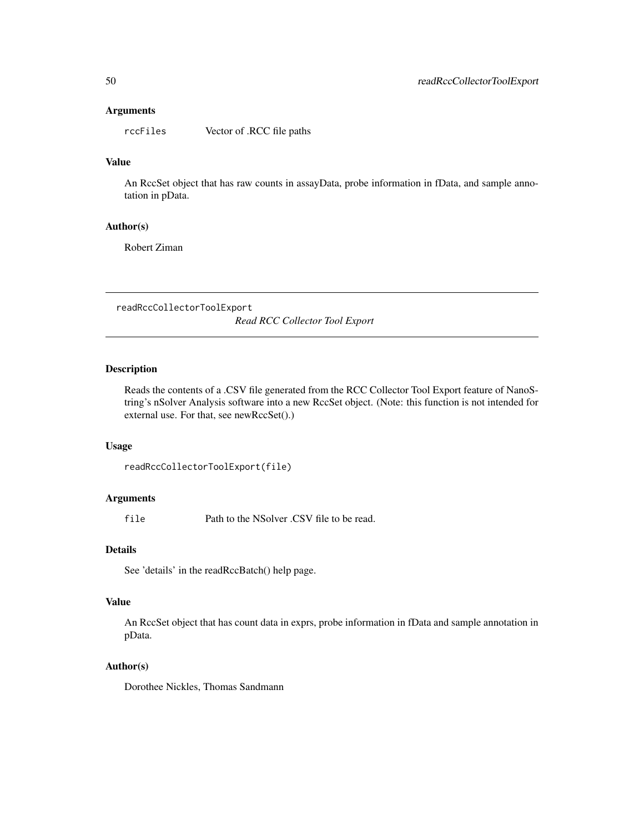#### <span id="page-49-0"></span>Arguments

rccFiles Vector of .RCC file paths

### Value

An RccSet object that has raw counts in assayData, probe information in fData, and sample annotation in pData.

#### Author(s)

Robert Ziman

readRccCollectorToolExport

*Read RCC Collector Tool Export*

### Description

Reads the contents of a .CSV file generated from the RCC Collector Tool Export feature of NanoString's nSolver Analysis software into a new RccSet object. (Note: this function is not intended for external use. For that, see newRccSet().)

#### Usage

```
readRccCollectorToolExport(file)
```
### Arguments

file Path to the NSolver .CSV file to be read.

### Details

See 'details' in the readRccBatch() help page.

### Value

An RccSet object that has count data in exprs, probe information in fData and sample annotation in pData.

### Author(s)

Dorothee Nickles, Thomas Sandmann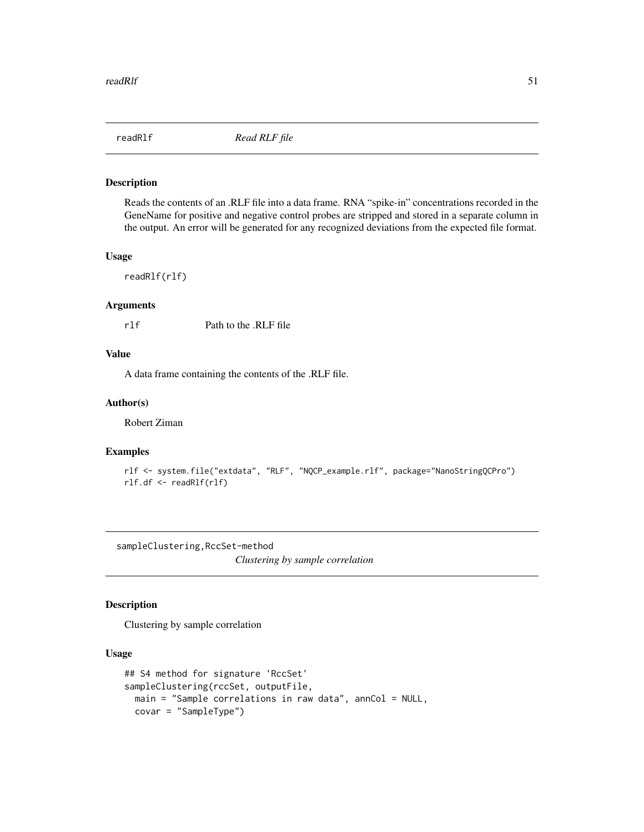<span id="page-50-0"></span>

#### Description

Reads the contents of an .RLF file into a data frame. RNA "spike-in" concentrations recorded in the GeneName for positive and negative control probes are stripped and stored in a separate column in the output. An error will be generated for any recognized deviations from the expected file format.

#### Usage

readRlf(rlf)

### Arguments

rlf Path to the .RLF file

### Value

A data frame containing the contents of the .RLF file.

#### Author(s)

Robert Ziman

#### Examples

```
rlf <- system.file("extdata", "RLF", "NQCP_example.rlf", package="NanoStringQCPro")
rlf.df <- readRlf(rlf)
```
sampleClustering,RccSet-method

*Clustering by sample correlation*

### Description

Clustering by sample correlation

#### Usage

```
## S4 method for signature 'RccSet'
sampleClustering(rccSet, outputFile,
 main = "Sample correlations in raw data", annCol = NULL,
 covar = "SampleType")
```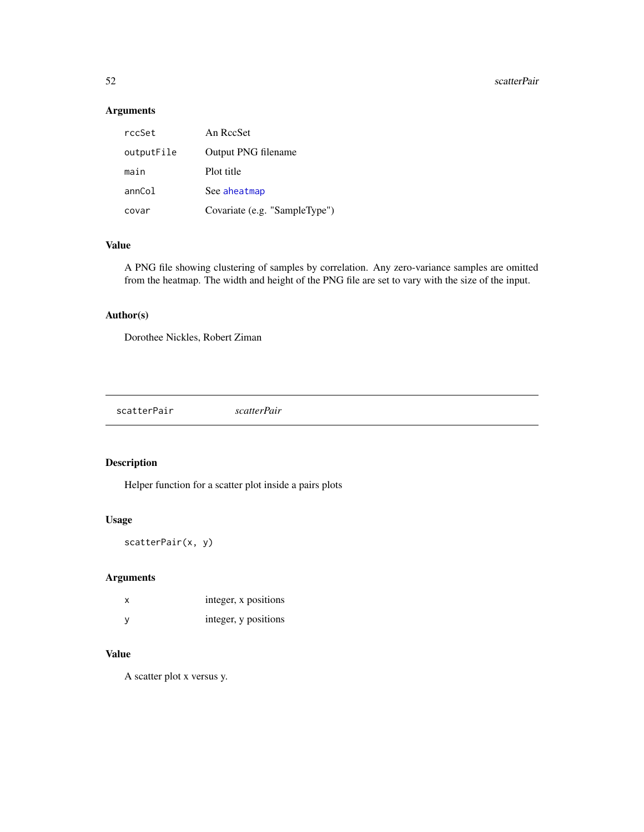### Arguments

| rccSet     | An RccSet                     |
|------------|-------------------------------|
| outputFile | Output PNG filename           |
| main       | Plot title                    |
| annCol     | See aheatmap                  |
| covar      | Covariate (e.g. "SampleType") |

### Value

A PNG file showing clustering of samples by correlation. Any zero-variance samples are omitted from the heatmap. The width and height of the PNG file are set to vary with the size of the input.

### Author(s)

Dorothee Nickles, Robert Ziman

scatterPair *scatterPair*

### Description

Helper function for a scatter plot inside a pairs plots

### Usage

```
scatterPair(x, y)
```
### Arguments

| X | integer, x positions |
|---|----------------------|
| У | integer, y positions |

### Value

A scatter plot x versus y.

<span id="page-51-0"></span>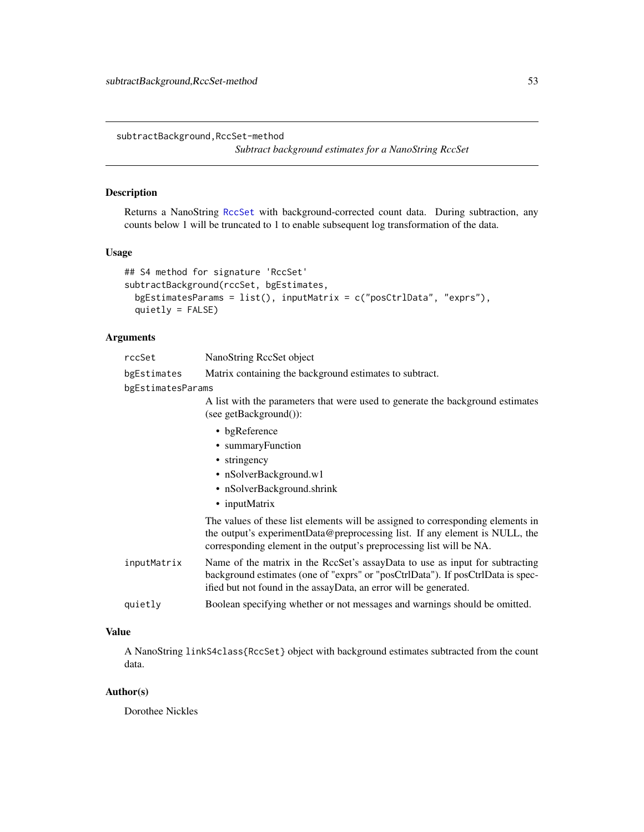<span id="page-52-0"></span>subtractBackground,RccSet-method *Subtract background estimates for a NanoString RccSet*

#### <span id="page-52-1"></span>Description

Returns a NanoString [RccSet](#page-46-1) with background-corrected count data. During subtraction, any counts below 1 will be truncated to 1 to enable subsequent log transformation of the data.

#### Usage

```
## S4 method for signature 'RccSet'
subtractBackground(rccSet, bgEstimates,
  bgEstimatesParams = list(), inputMatrix = c("posCtrlData", "exprs"),
  quietly = FALSE)
```
#### Arguments

bgEstimates Matrix containing the background estimates to subtract.

bgEstimatesParams

A list with the parameters that were used to generate the background estimates (see getBackground()):

- bgReference
- summaryFunction
- stringency
- nSolverBackground.w1
- nSolverBackground.shrink
- inputMatrix

```
The values of these list elements will be assigned to corresponding elements in
the output's experimentData@preprocessing list. If any element is NULL, the
corresponding element in the output's preprocessing list will be NA.
```
- inputMatrix Name of the matrix in the RccSet's assayData to use as input for subtracting background estimates (one of "exprs" or "posCtrlData"). If posCtrlData is specified but not found in the assayData, an error will be generated.
- quietly Boolean specifying whether or not messages and warnings should be omitted.

#### Value

A NanoString linkS4class{RccSet} object with background estimates subtracted from the count data.

#### Author(s)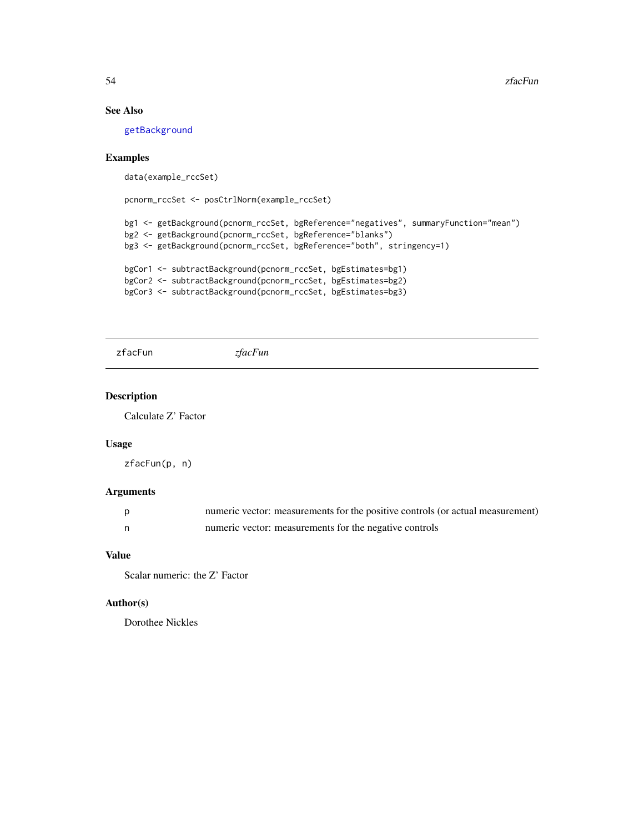#### See Also

[getBackground](#page-20-1)

### Examples

data(example\_rccSet)

```
pcnorm_rccSet <- posCtrlNorm(example_rccSet)
```

```
bg1 <- getBackground(pcnorm_rccSet, bgReference="negatives", summaryFunction="mean")
bg2 <- getBackground(pcnorm_rccSet, bgReference="blanks")
bg3 <- getBackground(pcnorm_rccSet, bgReference="both", stringency=1)
```

```
bgCor1 <- subtractBackground(pcnorm_rccSet, bgEstimates=bg1)
bgCor2 <- subtractBackground(pcnorm_rccSet, bgEstimates=bg2)
bgCor3 <- subtractBackground(pcnorm_rccSet, bgEstimates=bg3)
```
zfacFun *zfacFun*

#### Description

Calculate Z' Factor

### Usage

zfacFun(p, n)

#### Arguments

|    | numeric vector: measurements for the positive controls (or actual measurement) |
|----|--------------------------------------------------------------------------------|
| n, | numeric vector: measurements for the negative controls                         |

### Value

Scalar numeric: the Z' Factor

### Author(s)

<span id="page-53-0"></span>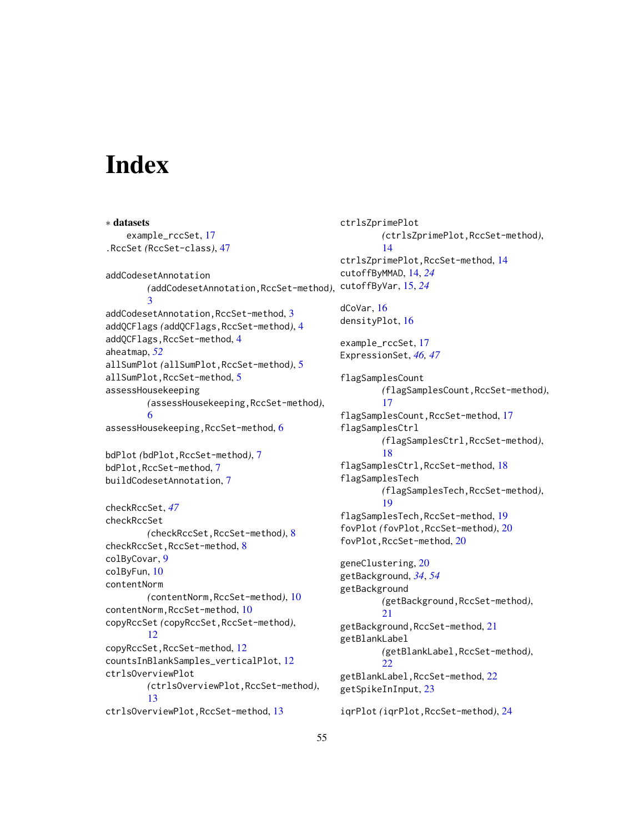# <span id="page-54-0"></span>**Index**

```
∗ datasets
    example_rccSet, 17
.RccSet (RccSet-class), 47
addCodesetAnnotation
        (addCodesetAnnotation,RccSet-method),
cutoffByVar, 15, 24
        3
addCodesetAnnotation,RccSet-method, 3
addQCFlags (addQCFlags,RccSet-method), 4
addQCFlags,RccSet-method, 4
aheatmap, 52
allSumPlot (allSumPlot,RccSet-method), 5
allSumPlot,RccSet-method, 5
assessHousekeeping
        (assessHousekeeping,RccSet-method),
        6
assessHousekeeping,RccSet-method, 6
bdPlot (bdPlot,RccSet-method), 7
bdPlot,RccSet-method, 7
buildCodesetAnnotation, 7
checkRccSet, 47
checkRccSet
        (checkRccSet,RccSet-method), 8
checkRccSet,RccSet-method, 8
colByCovar, 9
colByFun, 10
contentNorm
        (contentNorm,RccSet-method), 10
contentNorm,RccSet-method, 10
copyRccSet (copyRccSet,RccSet-method),
        12
copyRccSet,RccSet-method, 12
countsInBlankSamples_verticalPlot, 12
ctrlsOverviewPlot
        (ctrlsOverviewPlot,RccSet-method),
        13
ctrlsOverviewPlot,RccSet-method, 13
```
ctrlsZprimePlot *(*ctrlsZprimePlot,RccSet-method*)*, [14](#page-13-0) ctrlsZprimePlot,RccSet-method, [14](#page-13-0) cutoffByMMAD, [14,](#page-13-0) *[24](#page-23-0)* dCoVar, [16](#page-15-0) densityPlot, [16](#page-15-0) example\_rccSet, [17](#page-16-0) ExpressionSet, *[46,](#page-45-0) [47](#page-46-0)* flagSamplesCount *(*flagSamplesCount,RccSet-method*)*, [17](#page-16-0) flagSamplesCount,RccSet-method, [17](#page-16-0) flagSamplesCtrl *(*flagSamplesCtrl,RccSet-method*)*, [18](#page-17-0) flagSamplesCtrl,RccSet-method, [18](#page-17-0) flagSamplesTech *(*flagSamplesTech,RccSet-method*)*, [19](#page-18-0) flagSamplesTech,RccSet-method, [19](#page-18-0) fovPlot *(*fovPlot,RccSet-method*)*, [20](#page-19-0) fovPlot,RccSet-method, [20](#page-19-0) geneClustering, [20](#page-19-0) getBackground, *[34](#page-33-0)*, *[54](#page-53-0)* getBackground *(*getBackground,RccSet-method*)*, [21](#page-20-0) getBackground,RccSet-method, [21](#page-20-0) getBlankLabel *(*getBlankLabel,RccSet-method*)*, [22](#page-21-0) getBlankLabel,RccSet-method, [22](#page-21-0) getSpikeInInput, [23](#page-22-0) iqrPlot *(*iqrPlot,RccSet-method*)*, [24](#page-23-0)